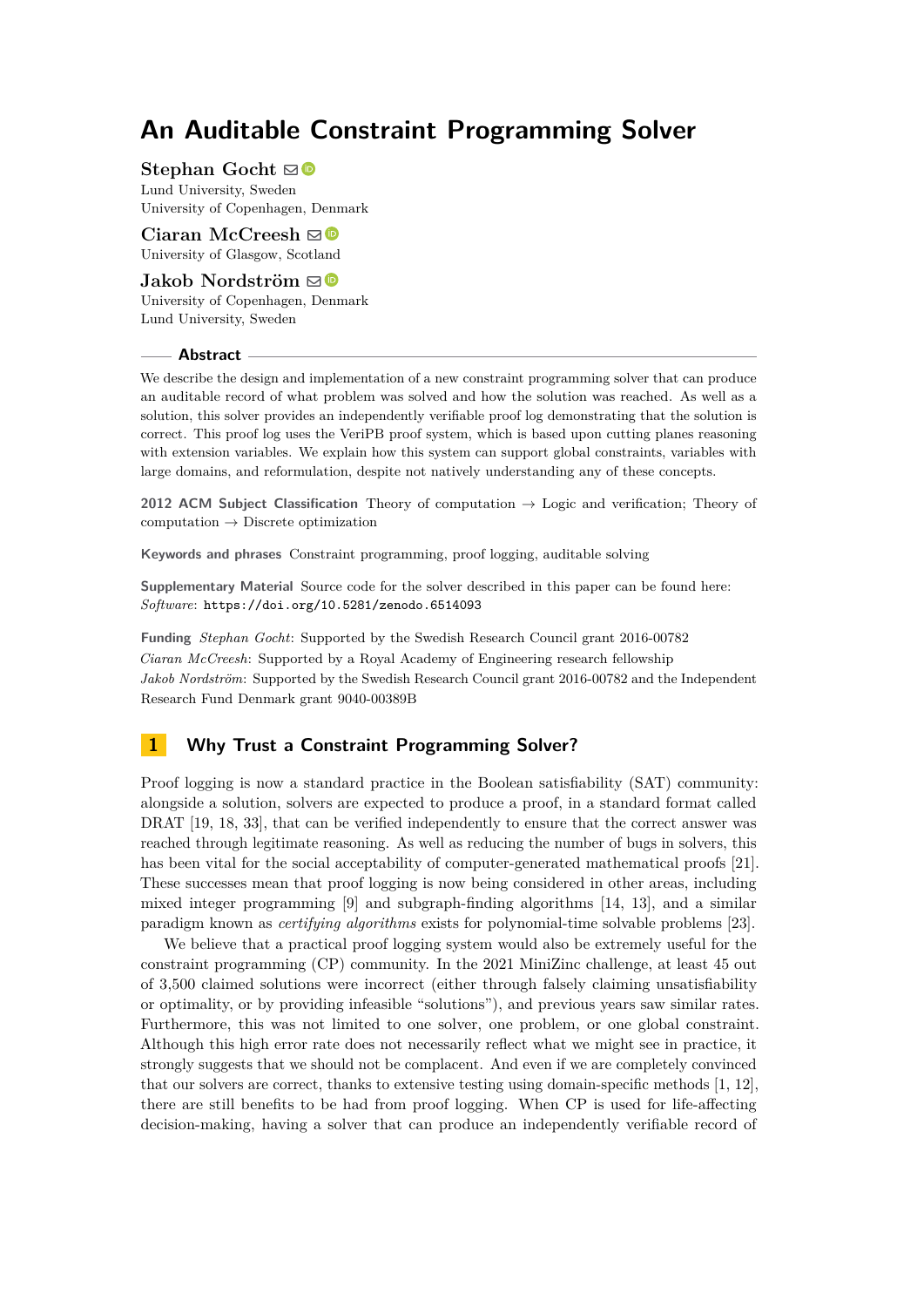**Stephan Gocht**  $\boxtimes$ Lund University, Sweden University of Copenhagen, Denmark

**Ciaran McCreesh** ⊠<sup>■</sup> University of Glasgow, Scotland

**Jakob Nordström** ⊠<sup>®</sup> University of Copenhagen, Denmark Lund University, Sweden

# **Abstract**

We describe the design and implementation of a new constraint programming solver that can produce an auditable record of what problem was solved and how the solution was reached. As well as a solution, this solver provides an independently verifiable proof log demonstrating that the solution is correct. This proof log uses the VeriPB proof system, which is based upon cutting planes reasoning with extension variables. We explain how this system can support global constraints, variables with large domains, and reformulation, despite not natively understanding any of these concepts.

**2012 ACM Subject Classification** Theory of computation → Logic and verification; Theory of  $computation \rightarrow Discrete$  optimization

**Keywords and phrases** Constraint programming, proof logging, auditable solving

**Supplementary Material** Source code for the solver described in this paper can be found here: *Software*: <https://doi.org/10.5281/zenodo.6514093>

**Funding** *Stephan Gocht*: Supported by the Swedish Research Council grant 2016-00782 *Ciaran McCreesh*: Supported by a Royal Academy of Engineering research fellowship *Jakob Nordström*: Supported by the Swedish Research Council grant 2016-00782 and the Independent Research Fund Denmark grant 9040-00389B

# **1 Why Trust a Constraint Programming Solver?**

Proof logging is now a standard practice in the Boolean satisfiability (SAT) community: alongside a solution, solvers are expected to produce a proof, in a standard format called DRAT [\[19,](#page-16-0) [18,](#page-16-1) [33\]](#page-17-0), that can be verified independently to ensure that the correct answer was reached through legitimate reasoning. As well as reducing the number of bugs in solvers, this has been vital for the social acceptability of computer-generated mathematical proofs [\[21\]](#page-16-2). These successes mean that proof logging is now being considered in other areas, including mixed integer programming [\[9\]](#page-15-0) and subgraph-finding algorithms [\[14,](#page-16-3) [13\]](#page-16-4), and a similar paradigm known as *certifying algorithms* exists for polynomial-time solvable problems [\[23\]](#page-16-5).

We believe that a practical proof logging system would also be extremely useful for the constraint programming (CP) community. In the 2021 MiniZinc challenge, at least 45 out of 3,500 claimed solutions were incorrect (either through falsely claiming unsatisfiability or optimality, or by providing infeasible "solutions"), and previous years saw similar rates. Furthermore, this was not limited to one solver, one problem, or one global constraint. Although this high error rate does not necessarily reflect what we might see in practice, it strongly suggests that we should not be complacent. And even if we are completely convinced that our solvers are correct, thanks to extensive testing using domain-specific methods [\[1,](#page-15-1) [12\]](#page-15-2), there are still benefits to be had from proof logging. When CP is used for life-affecting decision-making, having a solver that can produce an independently verifiable record of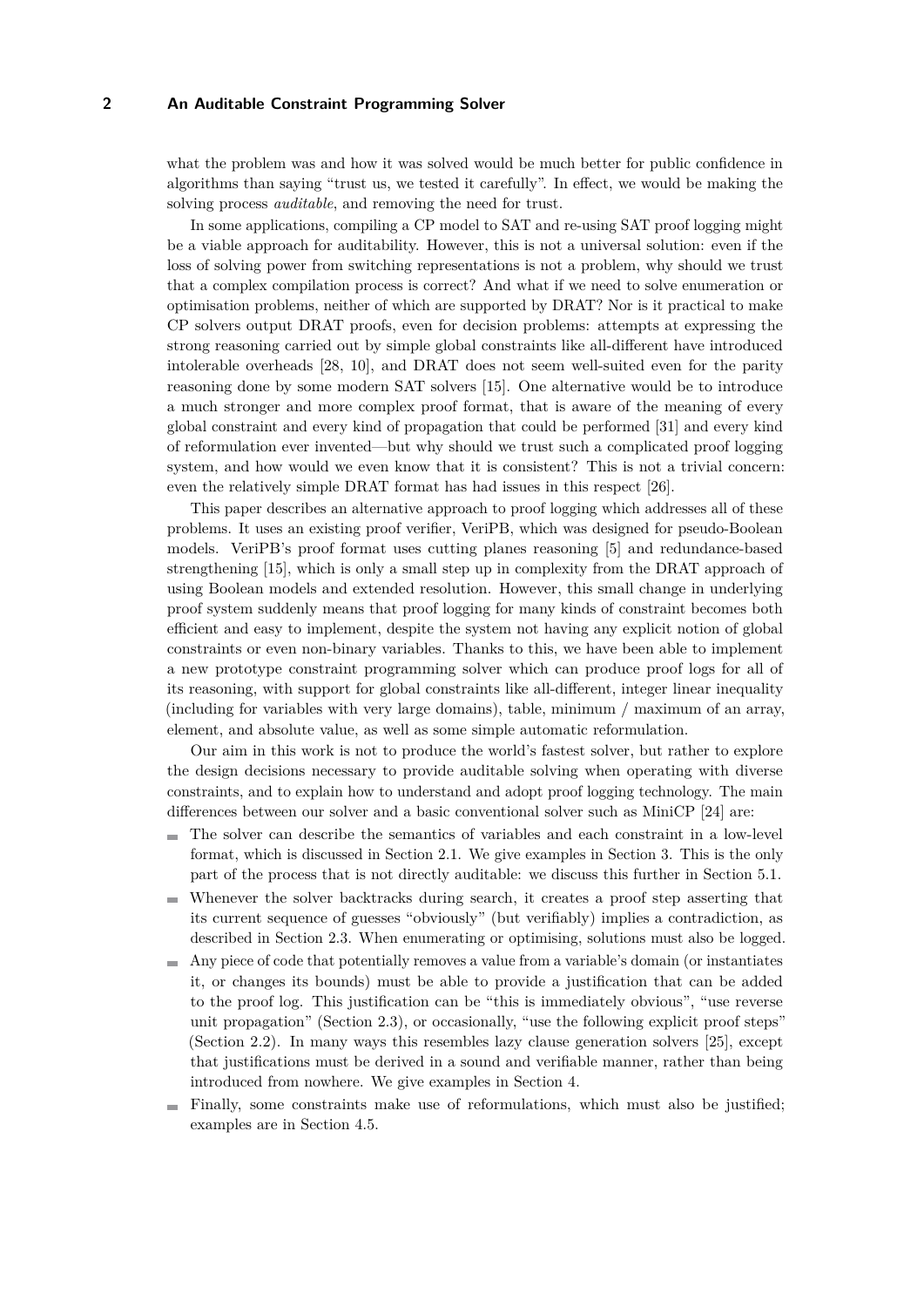what the problem was and how it was solved would be much better for public confidence in algorithms than saying "trust us, we tested it carefully". In effect, we would be making the solving process *auditable*, and removing the need for trust.

In some applications, compiling a CP model to SAT and re-using SAT proof logging might be a viable approach for auditability. However, this is not a universal solution: even if the loss of solving power from switching representations is not a problem, why should we trust that a complex compilation process is correct? And what if we need to solve enumeration or optimisation problems, neither of which are supported by DRAT? Nor is it practical to make CP solvers output DRAT proofs, even for decision problems: attempts at expressing the strong reasoning carried out by simple global constraints like all-different have introduced intolerable overheads [\[28,](#page-17-1) [10\]](#page-15-3), and DRAT does not seem well-suited even for the parity reasoning done by some modern SAT solvers [\[15\]](#page-16-6). One alternative would be to introduce a much stronger and more complex proof format, that is aware of the meaning of every global constraint and every kind of propagation that could be performed [\[31\]](#page-17-2) and every kind of reformulation ever invented—but why should we trust such a complicated proof logging system, and how would we even know that it is consistent? This is not a trivial concern: even the relatively simple DRAT format has had issues in this respect [\[26\]](#page-16-7).

This paper describes an alternative approach to proof logging which addresses all of these problems. It uses an existing proof verifier, VeriPB, which was designed for pseudo-Boolean models. VeriPB's proof format uses cutting planes reasoning [\[5\]](#page-15-4) and redundance-based strengthening [\[15\]](#page-16-6), which is only a small step up in complexity from the DRAT approach of using Boolean models and extended resolution. However, this small change in underlying proof system suddenly means that proof logging for many kinds of constraint becomes both efficient and easy to implement, despite the system not having any explicit notion of global constraints or even non-binary variables. Thanks to this, we have been able to implement a new prototype constraint programming solver which can produce proof logs for all of its reasoning, with support for global constraints like all-different, integer linear inequality (including for variables with very large domains), table, minimum / maximum of an array, element, and absolute value, as well as some simple automatic reformulation.

Our aim in this work is not to produce the world's fastest solver, but rather to explore the design decisions necessary to provide auditable solving when operating with diverse constraints, and to explain how to understand and adopt proof logging technology. The main differences between our solver and a basic conventional solver such as MiniCP [\[24\]](#page-16-8) are:

- The solver can describe the semantics of variables and each constraint in a low-level format, which is discussed in Section [2.1.](#page-2-0) We give examples in Section [3.](#page-4-0) This is the only part of the process that is not directly auditable: we discuss this further in Section [5.1.](#page-10-0)
- Whenever the solver backtracks during search, it creates a proof step asserting that its current sequence of guesses "obviously" (but verifiably) implies a contradiction, as described in Section [2.3.](#page-3-0) When enumerating or optimising, solutions must also be logged.
- Any piece of code that potentially removes a value from a variable's domain (or instantiates) it, or changes its bounds) must be able to provide a justification that can be added to the proof log. This justification can be "this is immediately obvious", "use reverse unit propagation" (Section [2.3\)](#page-3-0), or occasionally, "use the following explicit proof steps" (Section [2.2\)](#page-2-1). In many ways this resembles lazy clause generation solvers [\[25\]](#page-16-9), except that justifications must be derived in a sound and verifiable manner, rather than being introduced from nowhere. We give examples in Section [4.](#page-6-0)
- Finally, some constraints make use of reformulations, which must also be justified; examples are in Section [4.5.](#page-9-0)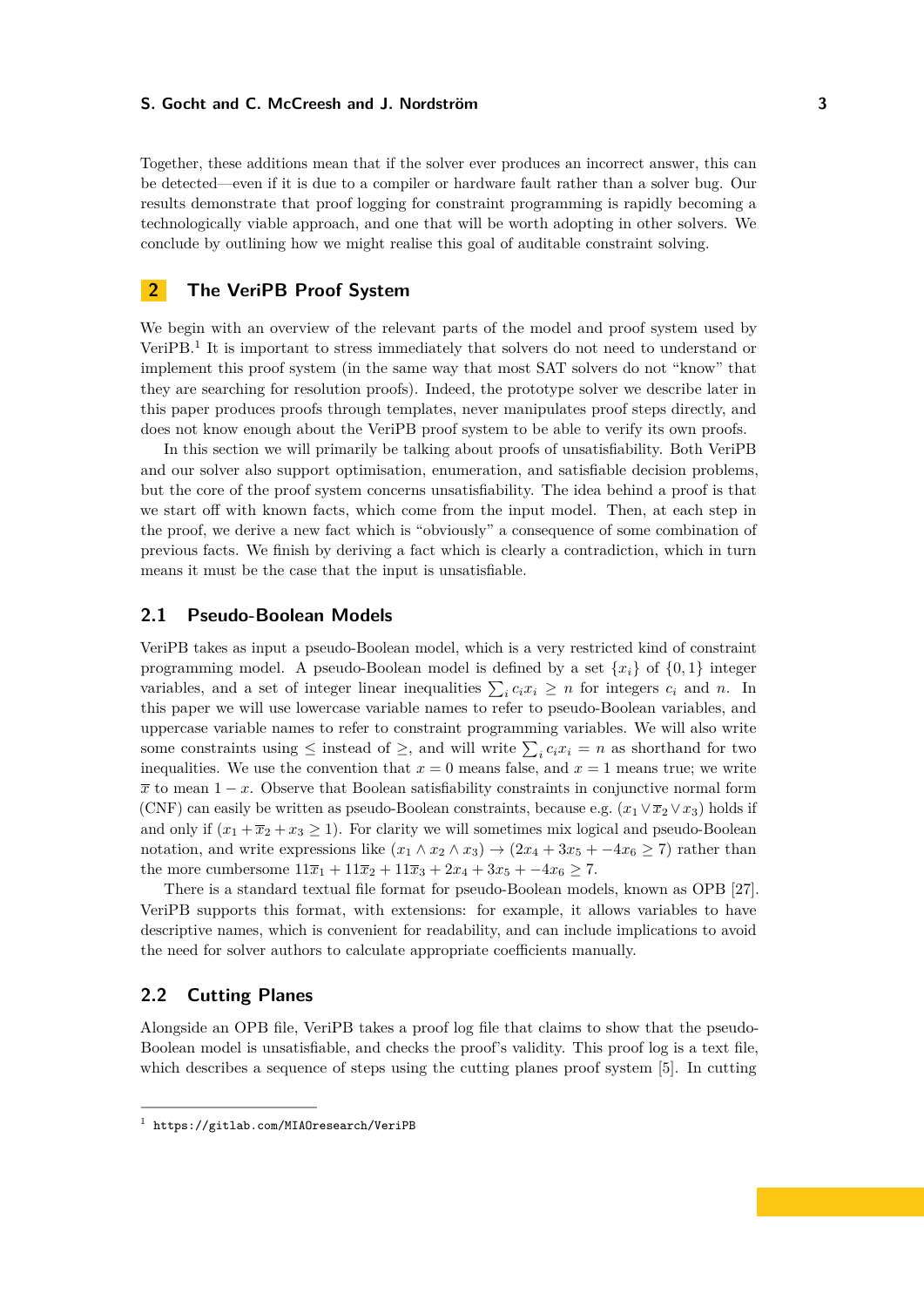Together, these additions mean that if the solver ever produces an incorrect answer, this can be detected—even if it is due to a compiler or hardware fault rather than a solver bug. Our results demonstrate that proof logging for constraint programming is rapidly becoming a technologically viable approach, and one that will be worth adopting in other solvers. We conclude by outlining how we might realise this goal of auditable constraint solving.

# **2 The VeriPB Proof System**

We begin with an overview of the relevant parts of the model and proof system used by VeriPB.<sup>[1](#page-2-2)</sup> It is important to stress immediately that solvers do not need to understand or implement this proof system (in the same way that most SAT solvers do not "know" that they are searching for resolution proofs). Indeed, the prototype solver we describe later in this paper produces proofs through templates, never manipulates proof steps directly, and does not know enough about the VeriPB proof system to be able to verify its own proofs.

In this section we will primarily be talking about proofs of unsatisfiability. Both VeriPB and our solver also support optimisation, enumeration, and satisfiable decision problems, but the core of the proof system concerns unsatisfiability. The idea behind a proof is that we start off with known facts, which come from the input model. Then, at each step in the proof, we derive a new fact which is "obviously" a consequence of some combination of previous facts. We finish by deriving a fact which is clearly a contradiction, which in turn means it must be the case that the input is unsatisfiable.

### <span id="page-2-0"></span>**2.1 Pseudo-Boolean Models**

VeriPB takes as input a pseudo-Boolean model, which is a very restricted kind of constraint programming model. A pseudo-Boolean model is defined by a set  $\{x_i\}$  of  $\{0,1\}$  integer variables, and a set of integer linear inequalities  $\sum_{i} c_i x_i \geq n$  for integers  $c_i$  and  $n$ . In this paper we will use lowercase variable names to refer to pseudo-Boolean variables, and uppercase variable names to refer to constraint programming variables. We will also write some constraints using  $\leq$  instead of  $\geq$ , and will write  $\sum_{i} c_i x_i = n$  as shorthand for two inequalities. We use the convention that  $x = 0$  means false, and  $x = 1$  means true; we write  $\bar{x}$  to mean  $1-x$ . Observe that Boolean satisfiability constraints in conjunctive normal form (CNF) can easily be written as pseudo-Boolean constraints, because e.g.  $(x_1 \vee \overline{x}_2 \vee x_3)$  holds if and only if  $(x_1 + \overline{x}_2 + x_3 \ge 1)$ . For clarity we will sometimes mix logical and pseudo-Boolean notation, and write expressions like  $(x_1 \wedge x_2 \wedge x_3) \rightarrow (2x_4 + 3x_5 + -4x_6 \ge 7)$  rather than the more cumbersome  $11\overline{x}_1 + 11\overline{x}_2 + 11\overline{x}_3 + 2x_4 + 3x_5 + -4x_6 \ge 7$ .

There is a standard textual file format for pseudo-Boolean models, known as OPB [\[27\]](#page-17-3). VeriPB supports this format, with extensions: for example, it allows variables to have descriptive names, which is convenient for readability, and can include implications to avoid the need for solver authors to calculate appropriate coefficients manually.

## <span id="page-2-1"></span>**2.2 Cutting Planes**

Alongside an OPB file, VeriPB takes a proof log file that claims to show that the pseudo-Boolean model is unsatisfiable, and checks the proof's validity. This proof log is a text file, which describes a sequence of steps using the cutting planes proof system [\[5\]](#page-15-4). In cutting

<span id="page-2-2"></span><sup>1</sup> <https://gitlab.com/MIAOresearch/VeriPB>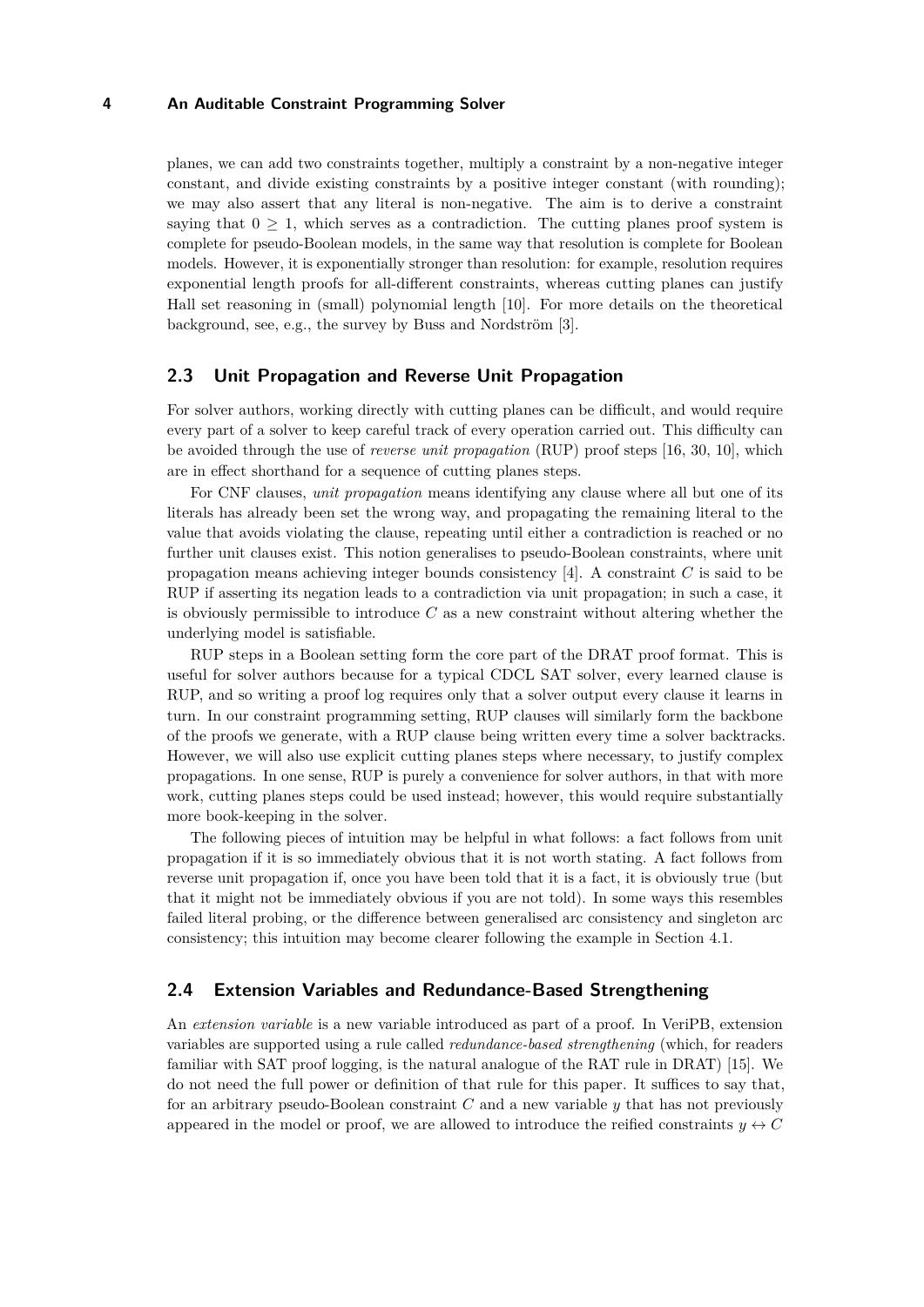planes, we can add two constraints together, multiply a constraint by a non-negative integer constant, and divide existing constraints by a positive integer constant (with rounding); we may also assert that any literal is non-negative. The aim is to derive a constraint saying that  $0 \geq 1$ , which serves as a contradiction. The cutting planes proof system is complete for pseudo-Boolean models, in the same way that resolution is complete for Boolean models. However, it is exponentially stronger than resolution: for example, resolution requires exponential length proofs for all-different constraints, whereas cutting planes can justify Hall set reasoning in (small) polynomial length [\[10\]](#page-15-3). For more details on the theoretical background, see, e.g., the survey by Buss and Nordström [\[3\]](#page-15-5).

## <span id="page-3-0"></span>**2.3 Unit Propagation and Reverse Unit Propagation**

For solver authors, working directly with cutting planes can be difficult, and would require every part of a solver to keep careful track of every operation carried out. This difficulty can be avoided through the use of *reverse unit propagation* (RUP) proof steps [\[16,](#page-16-10) [30,](#page-17-4) [10\]](#page-15-3), which are in effect shorthand for a sequence of cutting planes steps.

For CNF clauses, *unit propagation* means identifying any clause where all but one of its literals has already been set the wrong way, and propagating the remaining literal to the value that avoids violating the clause, repeating until either a contradiction is reached or no further unit clauses exist. This notion generalises to pseudo-Boolean constraints, where unit propagation means achieving integer bounds consistency [\[4\]](#page-15-6). A constraint *C* is said to be RUP if asserting its negation leads to a contradiction via unit propagation; in such a case, it is obviously permissible to introduce *C* as a new constraint without altering whether the underlying model is satisfiable.

RUP steps in a Boolean setting form the core part of the DRAT proof format. This is useful for solver authors because for a typical CDCL SAT solver, every learned clause is RUP, and so writing a proof log requires only that a solver output every clause it learns in turn. In our constraint programming setting, RUP clauses will similarly form the backbone of the proofs we generate, with a RUP clause being written every time a solver backtracks. However, we will also use explicit cutting planes steps where necessary, to justify complex propagations. In one sense, RUP is purely a convenience for solver authors, in that with more work, cutting planes steps could be used instead; however, this would require substantially more book-keeping in the solver.

The following pieces of intuition may be helpful in what follows: a fact follows from unit propagation if it is so immediately obvious that it is not worth stating. A fact follows from reverse unit propagation if, once you have been told that it is a fact, it is obviously true (but that it might not be immediately obvious if you are not told). In some ways this resembles failed literal probing, or the difference between generalised arc consistency and singleton arc consistency; this intuition may become clearer following the example in Section [4.1.](#page-6-1)

## **2.4 Extension Variables and Redundance-Based Strengthening**

An *extension variable* is a new variable introduced as part of a proof. In VeriPB, extension variables are supported using a rule called *redundance-based strengthening* (which, for readers familiar with SAT proof logging, is the natural analogue of the RAT rule in DRAT) [\[15\]](#page-16-6). We do not need the full power or definition of that rule for this paper. It suffices to say that, for an arbitrary pseudo-Boolean constraint *C* and a new variable *y* that has not previously appeared in the model or proof, we are allowed to introduce the reified constraints  $y \leftrightarrow C$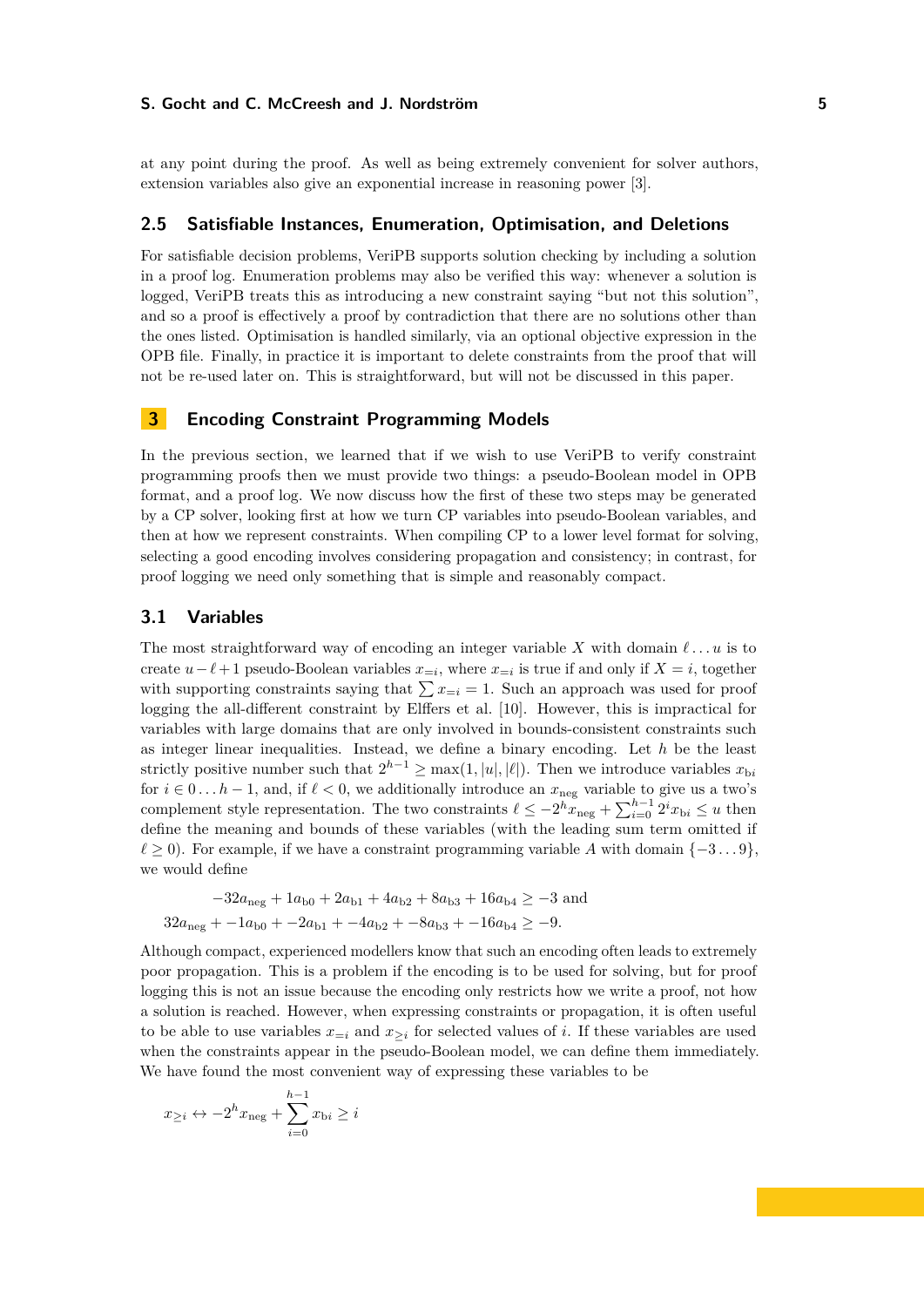at any point during the proof. As well as being extremely convenient for solver authors, extension variables also give an exponential increase in reasoning power [\[3\]](#page-15-5).

## **2.5 Satisfiable Instances, Enumeration, Optimisation, and Deletions**

For satisfiable decision problems, VeriPB supports solution checking by including a solution in a proof log. Enumeration problems may also be verified this way: whenever a solution is logged, VeriPB treats this as introducing a new constraint saying "but not this solution", and so a proof is effectively a proof by contradiction that there are no solutions other than the ones listed. Optimisation is handled similarly, via an optional objective expression in the OPB file. Finally, in practice it is important to delete constraints from the proof that will not be re-used later on. This is straightforward, but will not be discussed in this paper.

# <span id="page-4-0"></span>**3 Encoding Constraint Programming Models**

In the previous section, we learned that if we wish to use VeriPB to verify constraint programming proofs then we must provide two things: a pseudo-Boolean model in OPB format, and a proof log. We now discuss how the first of these two steps may be generated by a CP solver, looking first at how we turn CP variables into pseudo-Boolean variables, and then at how we represent constraints. When compiling CP to a lower level format for solving, selecting a good encoding involves considering propagation and consistency; in contrast, for proof logging we need only something that is simple and reasonably compact.

### **3.1 Variables**

The most straightforward way of encoding an integer variable *X* with domain *ℓ . . . u* is to create  $u-\ell+1$  pseudo-Boolean variables  $x_{=i}$ , where  $x_{=i}$  is true if and only if  $X=i$ , together with supporting constraints saying that  $\sum x_{=i} = 1$ . Such an approach was used for proof logging the all-different constraint by Elffers et al. [\[10\]](#page-15-3). However, this is impractical for variables with large domains that are only involved in bounds-consistent constraints such as integer linear inequalities. Instead, we define a binary encoding. Let *h* be the least strictly positive number such that  $2^{h-1} \ge \max(1, |u|, |\ell|)$ . Then we introduce variables  $x_{bi}$ for  $i \in 0...h-1$ , and, if  $\ell < 0$ , we additionally introduce an  $x_{\text{neg}}$  variable to give us a two's complement style representation. The two constraints  $\ell \leq -2^h x_{\text{neg}} + \sum_{i=0}^{h-1} 2^i x_{\text{b}i} \leq u$  then define the meaning and bounds of these variables (with the leading sum term omitted if  $\ell \geq 0$ ). For example, if we have a constraint programming variable *A* with domain  $\{-3...9\}$ , we would define

$$
-32a_{\text{neg}} + 1a_{\text{b}0} + 2a_{\text{b}1} + 4a_{\text{b}2} + 8a_{\text{b}3} + 16a_{\text{b}4} \ge -3 \text{ and}
$$
  

$$
32a_{\text{neg}} + -1a_{\text{b}0} + -2a_{\text{b}1} + -4a_{\text{b}2} + -8a_{\text{b}3} + -16a_{\text{b}4} \ge -9.
$$

Although compact, experienced modellers know that such an encoding often leads to extremely poor propagation. This is a problem if the encoding is to be used for solving, but for proof logging this is not an issue because the encoding only restricts how we write a proof, not how a solution is reached. However, when expressing constraints or propagation, it is often useful to be able to use variables  $x_{=i}$  and  $x_{\geq i}$  for selected values of *i*. If these variables are used when the constraints appear in the pseudo-Boolean model, we can define them immediately. We have found the most convenient way of expressing these variables to be

$$
x_{\geq i} \leftrightarrow -2^h x_{\text{neg}} + \sum_{i=0}^{h-1} x_{\text{b}i} \geq i
$$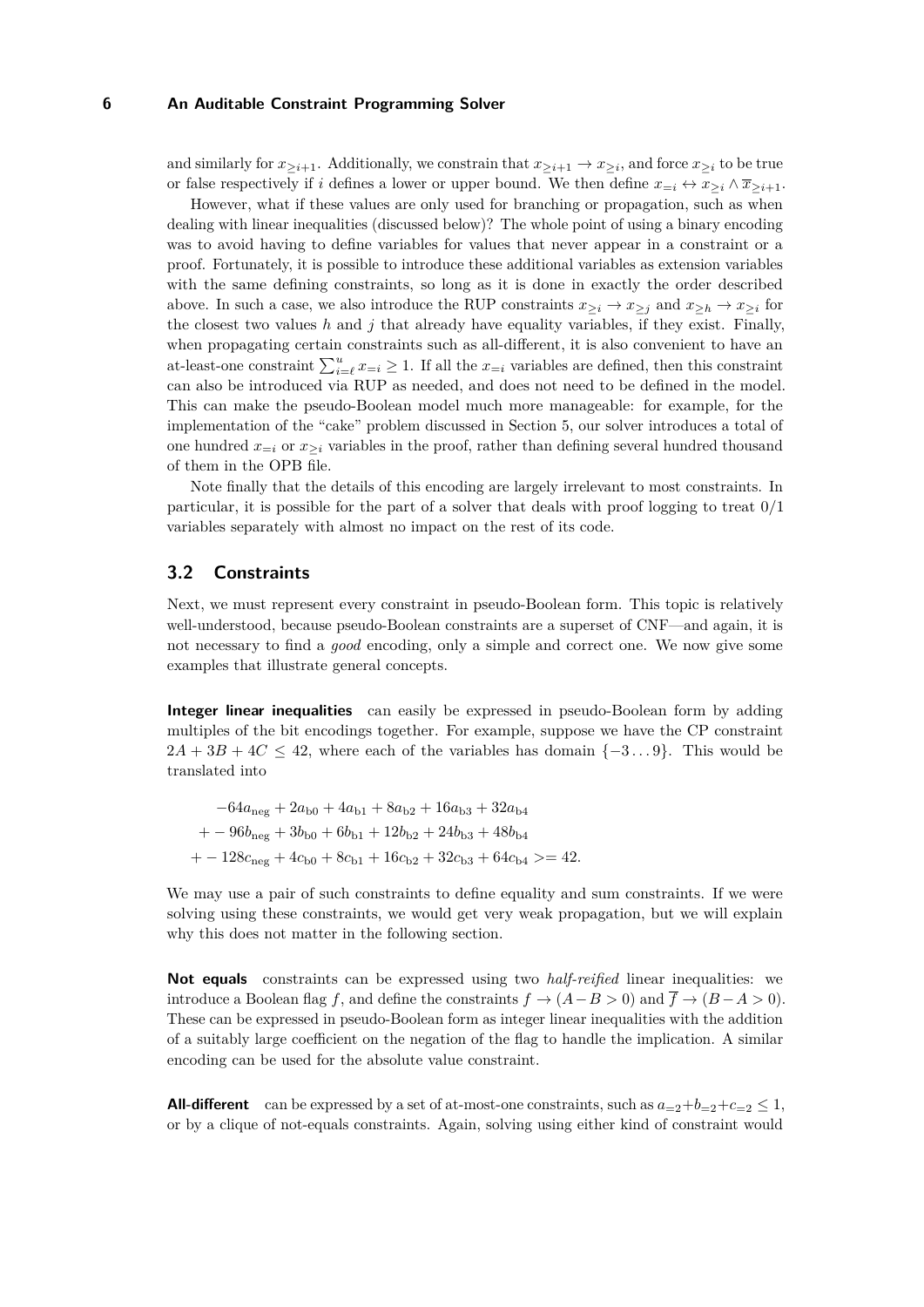and similarly for  $x_{\geq i+1}$ . Additionally, we constrain that  $x_{\geq i+1} \to x_{\geq i}$ , and force  $x_{\geq i}$  to be true or false respectively if *i* defines a lower or upper bound. We then define  $x_{=i} \leftrightarrow x_{\geq i} \wedge \overline{x}_{\geq i+1}$ .

However, what if these values are only used for branching or propagation, such as when dealing with linear inequalities (discussed below)? The whole point of using a binary encoding was to avoid having to define variables for values that never appear in a constraint or a proof. Fortunately, it is possible to introduce these additional variables as extension variables with the same defining constraints, so long as it is done in exactly the order described above. In such a case, we also introduce the RUP constraints  $x_{\geq i} \to x_{\geq j}$  and  $x_{\geq h} \to x_{\geq i}$  for the closest two values  $h$  and  $j$  that already have equality variables, if they exist. Finally, when propagating certain constraints such as all-different, it is also convenient to have an at-least-one constraint  $\sum_{i=\ell}^{u} x_{i} \geq 1$ . If all the  $x_{i}$  variables are defined, then this constraint can also be introduced via RUP as needed, and does not need to be defined in the model. This can make the pseudo-Boolean model much more manageable: for example, for the implementation of the "cake" problem discussed in Section [5,](#page-9-1) our solver introduces a total of one hundred  $x_{=i}$  or  $x_{\geq i}$  variables in the proof, rather than defining several hundred thousand of them in the OPB file.

Note finally that the details of this encoding are largely irrelevant to most constraints. In particular, it is possible for the part of a solver that deals with proof logging to treat 0/1 variables separately with almost no impact on the rest of its code.

# **3.2 Constraints**

Next, we must represent every constraint in pseudo-Boolean form. This topic is relatively well-understood, because pseudo-Boolean constraints are a superset of CNF—and again, it is not necessary to find a *good* encoding, only a simple and correct one. We now give some examples that illustrate general concepts.

**Integer linear inequalities** can easily be expressed in pseudo-Boolean form by adding multiples of the bit encodings together. For example, suppose we have the CP constraint  $2A + 3B + 4C \leq 42$ , where each of the variables has domain  $\{-3...9\}$ . This would be translated into

$$
-64a_{\text{neg}} + 2a_{\text{b}0} + 4a_{\text{b}1} + 8a_{\text{b}2} + 16a_{\text{b}3} + 32a_{\text{b}4}
$$
  
+ 
$$
-96b_{\text{neg}} + 3b_{\text{b}0} + 6b_{\text{b}1} + 12b_{\text{b}2} + 24b_{\text{b}3} + 48b_{\text{b}4}
$$
  
+ 
$$
-128c_{\text{neg}} + 4c_{\text{b}0} + 8c_{\text{b}1} + 16c_{\text{b}2} + 32c_{\text{b}3} + 64c_{\text{b}4} > = 42.
$$

We may use a pair of such constraints to define equality and sum constraints. If we were solving using these constraints, we would get very weak propagation, but we will explain why this does not matter in the following section.

**Not equals** constraints can be expressed using two *half-reified* linear inequalities: we introduce a Boolean flag *f*, and define the constraints  $f \to (A - B > 0)$  and  $\overline{f} \to (B - A > 0)$ . These can be expressed in pseudo-Boolean form as integer linear inequalities with the addition of a suitably large coefficient on the negation of the flag to handle the implication. A similar encoding can be used for the absolute value constraint.

**All-different** can be expressed by a set of at-most-one constraints, such as  $a_{=2}+b_{=2}+c_{=2} \leq 1$ , or by a clique of not-equals constraints. Again, solving using either kind of constraint would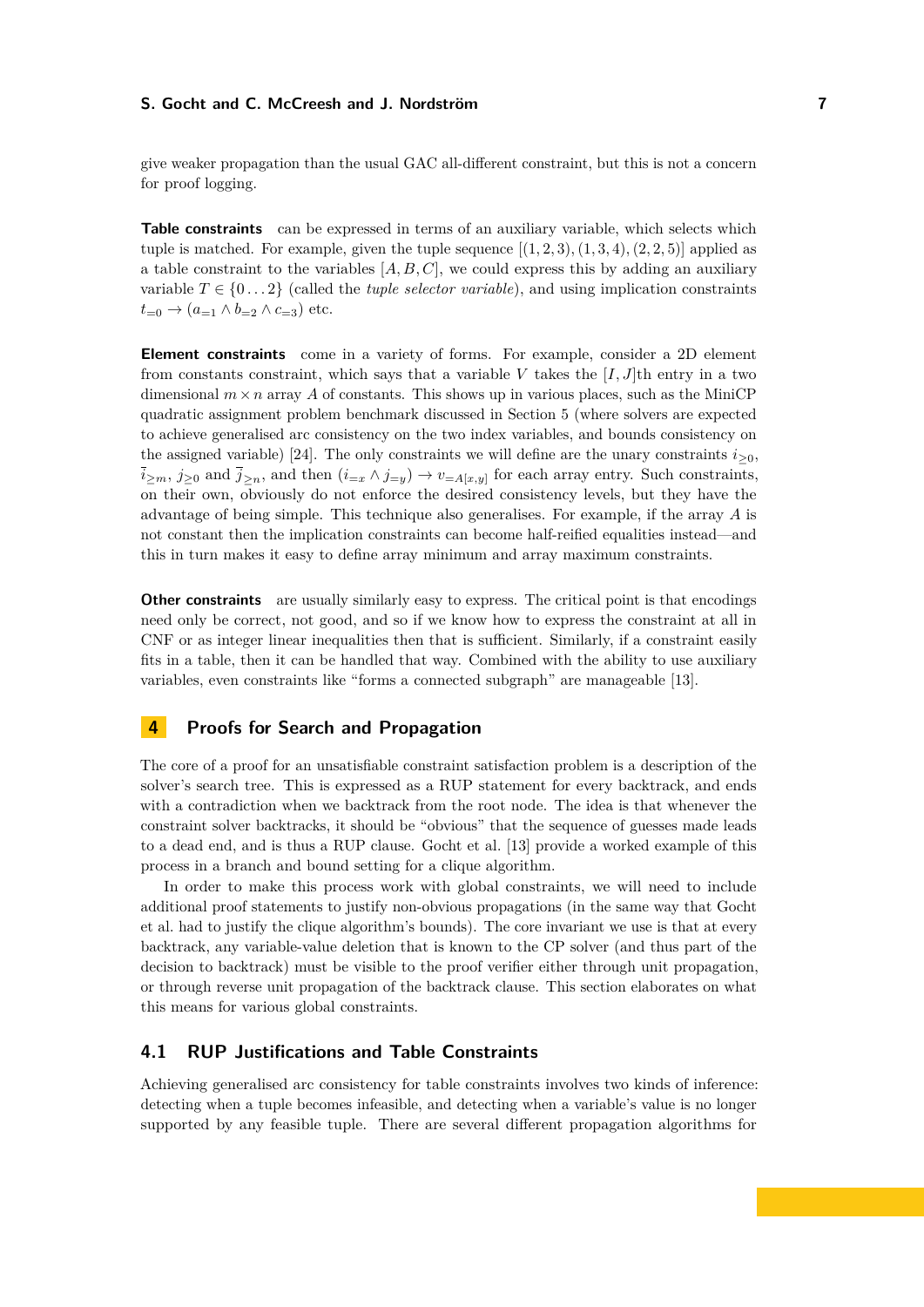give weaker propagation than the usual GAC all-different constraint, but this is not a concern for proof logging.

**Table constraints** can be expressed in terms of an auxiliary variable, which selects which tuple is matched. For example, given the tuple sequence  $[(1, 2, 3), (1, 3, 4), (2, 2, 5)]$  applied as a table constraint to the variables [*A, B, C*], we could express this by adding an auxiliary variable  $T \in \{0...2\}$  (called the *tuple selector variable*), and using implication constraints  $t_{=0} \rightarrow (a_{=1} \wedge b_{=2} \wedge c_{=3})$  etc.

**Element constraints** come in a variety of forms. For example, consider a 2D element from constants constraint, which says that a variable *V* takes the [*I, J*]th entry in a two dimensional  $m \times n$  array A of constants. This shows up in various places, such as the MiniCP quadratic assignment problem benchmark discussed in Section [5](#page-9-1) (where solvers are expected to achieve generalised arc consistency on the two index variables, and bounds consistency on the assigned variable) [\[24\]](#page-16-8). The only constraints we will define are the unary constraints  $i_{\geq 0}$ .  $\overline{i}_{\geq m}, j_{\geq 0}$  and  $\overline{j}_{\geq n}$ , and then  $(i_{=x} \wedge j_{=y}) \rightarrow v_{=A[x,y]}$  for each array entry. Such constraints, on their own, obviously do not enforce the desired consistency levels, but they have the advantage of being simple. This technique also generalises. For example, if the array *A* is not constant then the implication constraints can become half-reified equalities instead—and this in turn makes it easy to define array minimum and array maximum constraints.

**Other constraints** are usually similarly easy to express. The critical point is that encodings need only be correct, not good, and so if we know how to express the constraint at all in CNF or as integer linear inequalities then that is sufficient. Similarly, if a constraint easily fits in a table, then it can be handled that way. Combined with the ability to use auxiliary variables, even constraints like "forms a connected subgraph" are manageable [\[13\]](#page-16-4).

## <span id="page-6-0"></span>**4 Proofs for Search and Propagation**

The core of a proof for an unsatisfiable constraint satisfaction problem is a description of the solver's search tree. This is expressed as a RUP statement for every backtrack, and ends with a contradiction when we backtrack from the root node. The idea is that whenever the constraint solver backtracks, it should be "obvious" that the sequence of guesses made leads to a dead end, and is thus a RUP clause. Gocht et al. [\[13\]](#page-16-4) provide a worked example of this process in a branch and bound setting for a clique algorithm.

In order to make this process work with global constraints, we will need to include additional proof statements to justify non-obvious propagations (in the same way that Gocht et al. had to justify the clique algorithm's bounds). The core invariant we use is that at every backtrack, any variable-value deletion that is known to the CP solver (and thus part of the decision to backtrack) must be visible to the proof verifier either through unit propagation, or through reverse unit propagation of the backtrack clause. This section elaborates on what this means for various global constraints.

# <span id="page-6-1"></span>**4.1 RUP Justifications and Table Constraints**

Achieving generalised arc consistency for table constraints involves two kinds of inference: detecting when a tuple becomes infeasible, and detecting when a variable's value is no longer supported by any feasible tuple. There are several different propagation algorithms for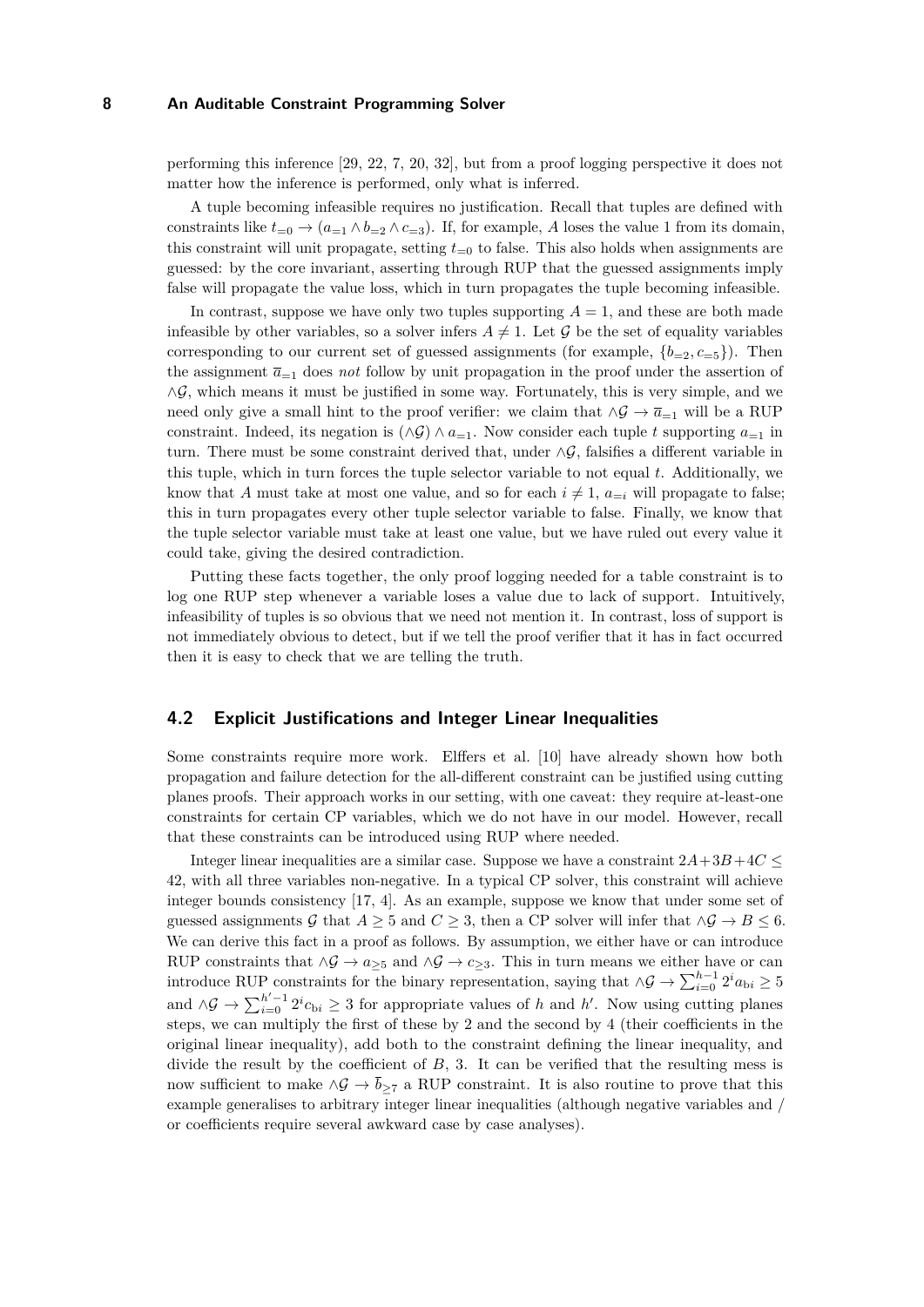performing this inference [\[29,](#page-17-5) [22,](#page-16-11) [7,](#page-15-7) [20,](#page-16-12) [32\]](#page-17-6), but from a proof logging perspective it does not matter how the inference is performed, only what is inferred.

A tuple becoming infeasible requires no justification. Recall that tuples are defined with constraints like  $t_{=0} \rightarrow (a_{=1} \wedge b_{=2} \wedge c_{=3})$ . If, for example, *A* loses the value 1 from its domain, this constraint will unit propagate, setting  $t_{=0}$  to false. This also holds when assignments are guessed: by the core invariant, asserting through RUP that the guessed assignments imply false will propagate the value loss, which in turn propagates the tuple becoming infeasible.

In contrast, suppose we have only two tuples supporting  $A = 1$ , and these are both made infeasible by other variables, so a solver infers  $A \neq 1$ . Let G be the set of equality variables corresponding to our current set of guessed assignments (for example,  ${b=2, c=5}$ ). Then the assignment  $\bar{a}_{-1}$  does *not* follow by unit propagation in the proof under the assertion of  $\wedge \mathcal{G}$ , which means it must be justified in some way. Fortunately, this is very simple, and we need only give a small hint to the proof verifier: we claim that  $\wedge \mathcal{G} \to \overline{a}_{=1}$  will be a RUP constraint. Indeed, its negation is  $(\land \mathcal{G}) \land a_{=1}$ . Now consider each tuple *t* supporting  $a_{=1}$  in turn. There must be some constraint derived that, under  $\wedge \mathcal{G}$ , falsifies a different variable in this tuple, which in turn forces the tuple selector variable to not equal *t*. Additionally, we know that *A* must take at most one value, and so for each  $i \neq 1$ ,  $a_{=i}$  will propagate to false; this in turn propagates every other tuple selector variable to false. Finally, we know that the tuple selector variable must take at least one value, but we have ruled out every value it could take, giving the desired contradiction.

Putting these facts together, the only proof logging needed for a table constraint is to log one RUP step whenever a variable loses a value due to lack of support. Intuitively, infeasibility of tuples is so obvious that we need not mention it. In contrast, loss of support is not immediately obvious to detect, but if we tell the proof verifier that it has in fact occurred then it is easy to check that we are telling the truth.

#### **4.2 Explicit Justifications and Integer Linear Inequalities**

Some constraints require more work. Elffers et al. [\[10\]](#page-15-3) have already shown how both propagation and failure detection for the all-different constraint can be justified using cutting planes proofs. Their approach works in our setting, with one caveat: they require at-least-one constraints for certain CP variables, which we do not have in our model. However, recall that these constraints can be introduced using RUP where needed.

Integer linear inequalities are a similar case. Suppose we have a constraint 2*A*+3*B*+4*C* ≤ 42, with all three variables non-negative. In a typical CP solver, this constraint will achieve integer bounds consistency [\[17,](#page-16-13) [4\]](#page-15-6). As an example, suppose we know that under some set of guessed assignments G that  $A \geq 5$  and  $C \geq 3$ , then a CP solver will infer that  $\land \mathcal{G} \rightarrow B \leq 6$ . We can derive this fact in a proof as follows. By assumption, we either have or can introduce RUP constraints that  $\land \mathcal{G} \rightarrow a_{\geq 5}$  and  $\land \mathcal{G} \rightarrow c_{\geq 3}$ . This in turn means we either have or can introduce RUP constraints for the binary representation, saying that  $\land \mathcal{G} \rightarrow \sum_{i=0}^{h-1} 2^i a_{\text{bi}} \geq 5$ and  $\Delta \mathcal{G} \to \sum_{i=0}^{h'-1} 2^i c_{\text{bi}} \geq 3$  for appropriate values of *h* and *h'*. Now using cutting planes steps, we can multiply the first of these by 2 and the second by 4 (their coefficients in the original linear inequality), add both to the constraint defining the linear inequality, and divide the result by the coefficient of *B*, 3. It can be verified that the resulting mess is now sufficient to make  $\wedge \mathcal{G} \to \overline{b}_{\geq 7}$  a RUP constraint. It is also routine to prove that this example generalises to arbitrary integer linear inequalities (although negative variables and / or coefficients require several awkward case by case analyses).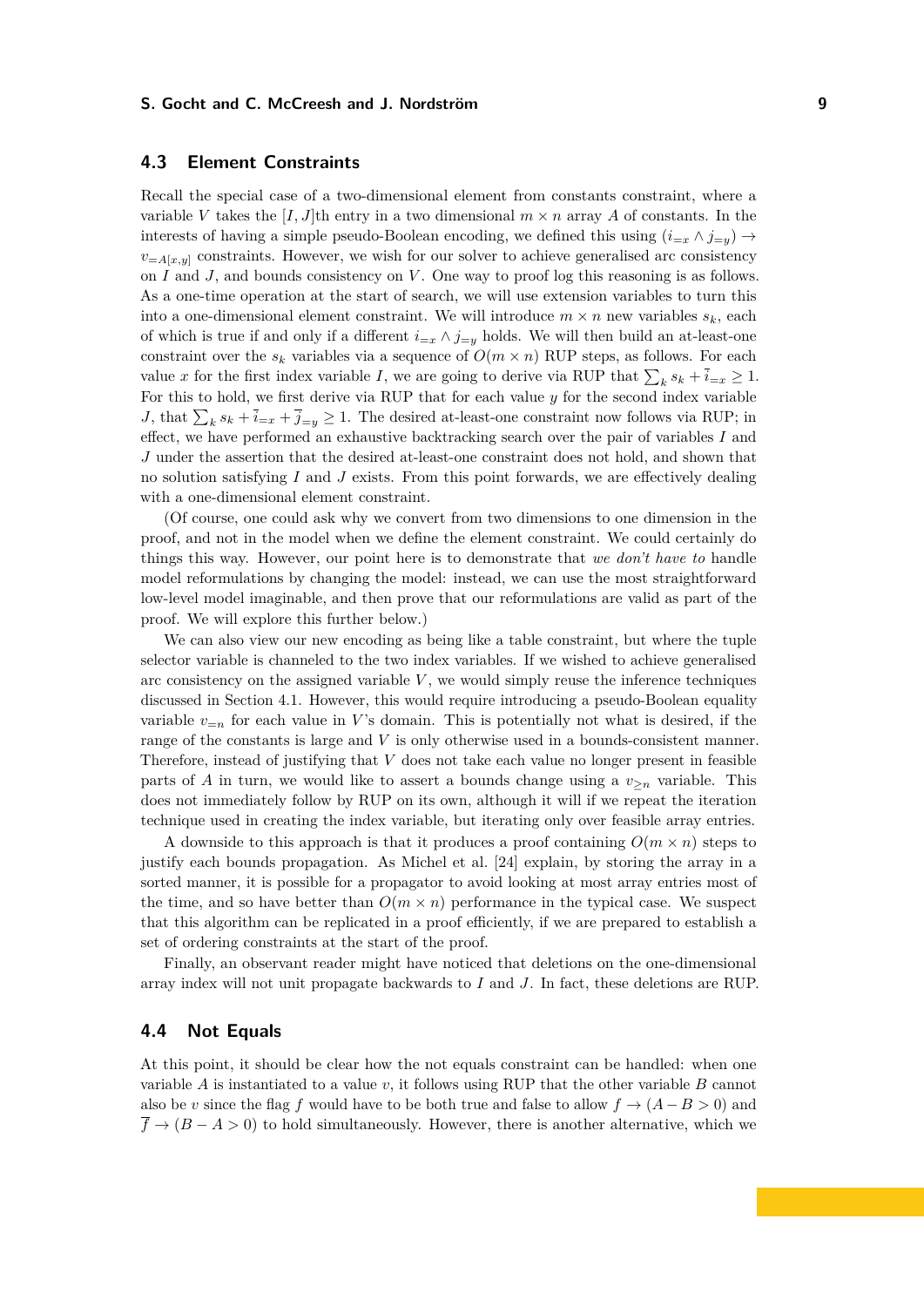# **4.3 Element Constraints**

Recall the special case of a two-dimensional element from constants constraint, where a variable V takes the  $[I, J]$ th entry in a two dimensional  $m \times n$  array A of constants. In the interests of having a simple pseudo-Boolean encoding, we defined this using  $(i_{=x} \land j_{=y}) \rightarrow$  $v_{=A[x,y]}$  constraints. However, we wish for our solver to achieve generalised arc consistency on *I* and *J*, and bounds consistency on *V*. One way to proof log this reasoning is as follows. As a one-time operation at the start of search, we will use extension variables to turn this into a one-dimensional element constraint. We will introduce  $m \times n$  new variables  $s_k$ , each of which is true if and only if a different  $i=<sub>x</sub> \wedge j=<sub>y</sub>$  holds. We will then build an at-least-one constraint over the  $s_k$  variables via a sequence of  $O(m \times n)$  RUP steps, as follows. For each value *x* for the first index variable *I*, we are going to derive via RUP that  $\sum_{k} s_k + \overline{i}_{=x} \ge 1$ . For this to hold, we first derive via RUP that for each value *y* for the second index variable *J*, that  $\sum_{k} s_k + \overline{i}_{=x} + \overline{j}_{=y} \ge 1$ . The desired at-least-one constraint now follows via RUP; in effect, we have performed an exhaustive backtracking search over the pair of variables *I* and *J* under the assertion that the desired at-least-one constraint does not hold, and shown that no solution satisfying *I* and *J* exists. From this point forwards, we are effectively dealing with a one-dimensional element constraint.

(Of course, one could ask why we convert from two dimensions to one dimension in the proof, and not in the model when we define the element constraint. We could certainly do things this way. However, our point here is to demonstrate that *we don't have to* handle model reformulations by changing the model: instead, we can use the most straightforward low-level model imaginable, and then prove that our reformulations are valid as part of the proof. We will explore this further below.)

We can also view our new encoding as being like a table constraint, but where the tuple selector variable is channeled to the two index variables. If we wished to achieve generalised arc consistency on the assigned variable  $V$ , we would simply reuse the inference techniques discussed in Section [4.1.](#page-6-1) However, this would require introducing a pseudo-Boolean equality variable  $v_{=n}$  for each value in *V*'s domain. This is potentially not what is desired, if the range of the constants is large and *V* is only otherwise used in a bounds-consistent manner. Therefore, instead of justifying that *V* does not take each value no longer present in feasible parts of *A* in turn, we would like to assert a bounds change using a  $v_{\ge n}$  variable. This does not immediately follow by RUP on its own, although it will if we repeat the iteration technique used in creating the index variable, but iterating only over feasible array entries.

A downside to this approach is that it produces a proof containing  $O(m \times n)$  steps to justify each bounds propagation. As Michel et al. [\[24\]](#page-16-8) explain, by storing the array in a sorted manner, it is possible for a propagator to avoid looking at most array entries most of the time, and so have better than  $O(m \times n)$  performance in the typical case. We suspect that this algorithm can be replicated in a proof efficiently, if we are prepared to establish a set of ordering constraints at the start of the proof.

Finally, an observant reader might have noticed that deletions on the one-dimensional array index will not unit propagate backwards to *I* and *J*. In fact, these deletions are RUP.

## **4.4 Not Equals**

At this point, it should be clear how the not equals constraint can be handled: when one variable *A* is instantiated to a value *v*, it follows using RUP that the other variable *B* cannot also be *v* since the flag *f* would have to be both true and false to allow  $f \rightarrow (A - B > 0)$  and  $\overline{f} \rightarrow (B - A > 0)$  to hold simultaneously. However, there is another alternative, which we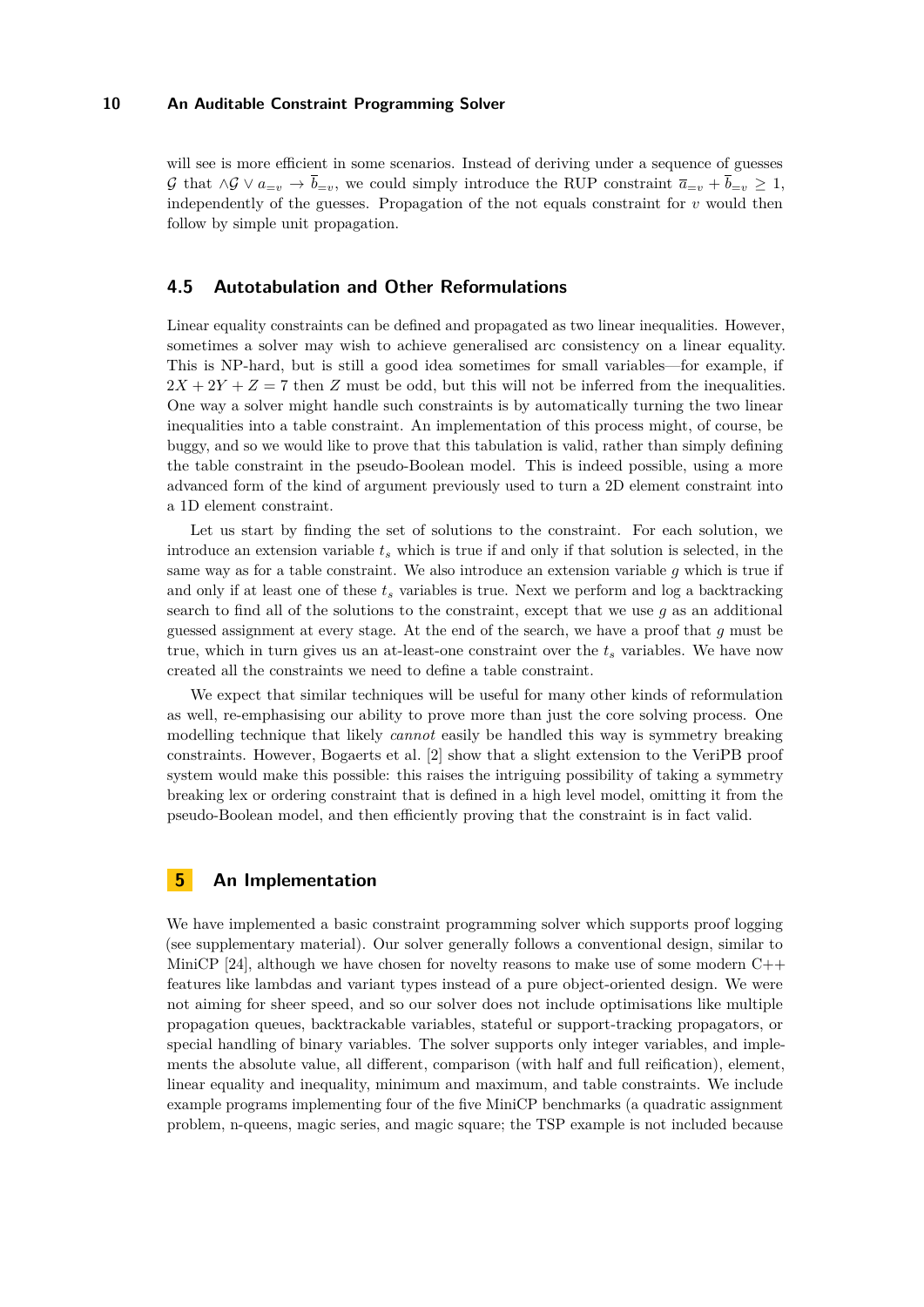will see is more efficient in some scenarios. Instead of deriving under a sequence of guesses G that  $\wedge$ G  $\vee$   $a_{=v}$  →  $\bar{b}_{=v}$ , we could simply introduce the RUP constraint  $\bar{a}_{=v}$  +  $\bar{b}_{=v}$  ≥ 1, independently of the guesses. Propagation of the not equals constraint for *v* would then follow by simple unit propagation.

## <span id="page-9-0"></span>**4.5 Autotabulation and Other Reformulations**

Linear equality constraints can be defined and propagated as two linear inequalities. However, sometimes a solver may wish to achieve generalised arc consistency on a linear equality. This is NP-hard, but is still a good idea sometimes for small variables—for example, if  $2X + 2Y + Z = 7$  then *Z* must be odd, but this will not be inferred from the inequalities. One way a solver might handle such constraints is by automatically turning the two linear inequalities into a table constraint. An implementation of this process might, of course, be buggy, and so we would like to prove that this tabulation is valid, rather than simply defining the table constraint in the pseudo-Boolean model. This is indeed possible, using a more advanced form of the kind of argument previously used to turn a 2D element constraint into a 1D element constraint.

Let us start by finding the set of solutions to the constraint. For each solution, we introduce an extension variable *t<sup>s</sup>* which is true if and only if that solution is selected, in the same way as for a table constraint. We also introduce an extension variable *g* which is true if and only if at least one of these *t<sup>s</sup>* variables is true. Next we perform and log a backtracking search to find all of the solutions to the constraint, except that we use *g* as an additional guessed assignment at every stage. At the end of the search, we have a proof that *g* must be true, which in turn gives us an at-least-one constraint over the  $t_s$  variables. We have now created all the constraints we need to define a table constraint.

We expect that similar techniques will be useful for many other kinds of reformulation as well, re-emphasising our ability to prove more than just the core solving process. One modelling technique that likely *cannot* easily be handled this way is symmetry breaking constraints. However, Bogaerts et al. [\[2\]](#page-15-8) show that a slight extension to the VeriPB proof system would make this possible: this raises the intriguing possibility of taking a symmetry breaking lex or ordering constraint that is defined in a high level model, omitting it from the pseudo-Boolean model, and then efficiently proving that the constraint is in fact valid.

# <span id="page-9-1"></span>**5 An Implementation**

We have implemented a basic constraint programming solver which supports proof logging (see supplementary material). Our solver generally follows a conventional design, similar to MiniCP [\[24\]](#page-16-8), although we have chosen for novelty reasons to make use of some modern  $C++$ features like lambdas and variant types instead of a pure object-oriented design. We were not aiming for sheer speed, and so our solver does not include optimisations like multiple propagation queues, backtrackable variables, stateful or support-tracking propagators, or special handling of binary variables. The solver supports only integer variables, and implements the absolute value, all different, comparison (with half and full reification), element, linear equality and inequality, minimum and maximum, and table constraints. We include example programs implementing four of the five MiniCP benchmarks (a quadratic assignment problem, n-queens, magic series, and magic square; the TSP example is not included because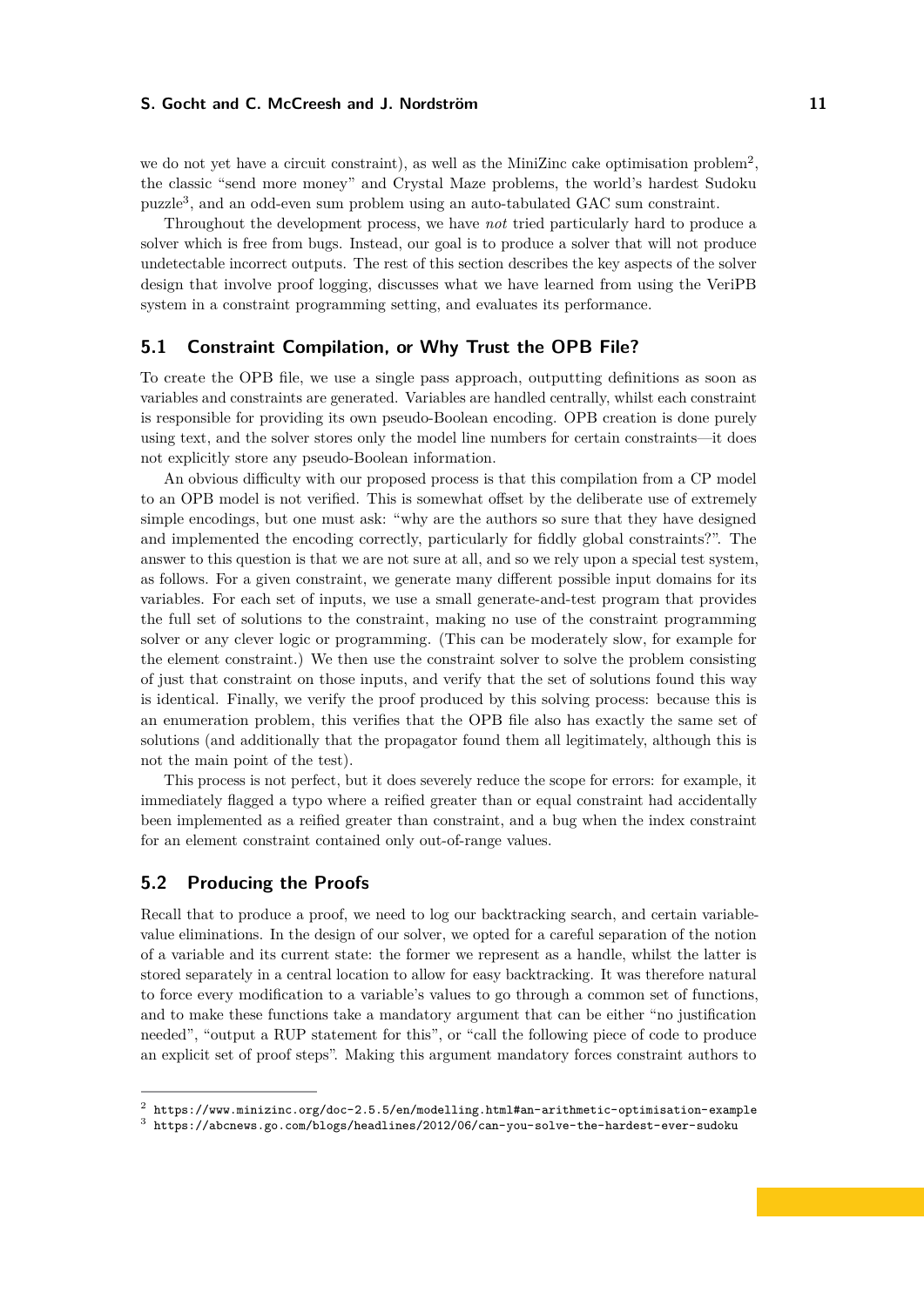we do not yet have a circuit constraint), as well as the MiniZinc cake optimisation problem<sup>[2](#page-10-1)</sup>, the classic "send more money" and Crystal Maze problems, the world's hardest Sudoku puzzle[3](#page-10-2) , and an odd-even sum problem using an auto-tabulated GAC sum constraint.

Throughout the development process, we have *not* tried particularly hard to produce a solver which is free from bugs. Instead, our goal is to produce a solver that will not produce undetectable incorrect outputs. The rest of this section describes the key aspects of the solver design that involve proof logging, discusses what we have learned from using the VeriPB system in a constraint programming setting, and evaluates its performance.

## <span id="page-10-0"></span>**5.1 Constraint Compilation, or Why Trust the OPB File?**

To create the OPB file, we use a single pass approach, outputting definitions as soon as variables and constraints are generated. Variables are handled centrally, whilst each constraint is responsible for providing its own pseudo-Boolean encoding. OPB creation is done purely using text, and the solver stores only the model line numbers for certain constraints—it does not explicitly store any pseudo-Boolean information.

An obvious difficulty with our proposed process is that this compilation from a CP model to an OPB model is not verified. This is somewhat offset by the deliberate use of extremely simple encodings, but one must ask: "why are the authors so sure that they have designed and implemented the encoding correctly, particularly for fiddly global constraints?". The answer to this question is that we are not sure at all, and so we rely upon a special test system, as follows. For a given constraint, we generate many different possible input domains for its variables. For each set of inputs, we use a small generate-and-test program that provides the full set of solutions to the constraint, making no use of the constraint programming solver or any clever logic or programming. (This can be moderately slow, for example for the element constraint.) We then use the constraint solver to solve the problem consisting of just that constraint on those inputs, and verify that the set of solutions found this way is identical. Finally, we verify the proof produced by this solving process: because this is an enumeration problem, this verifies that the OPB file also has exactly the same set of solutions (and additionally that the propagator found them all legitimately, although this is not the main point of the test).

This process is not perfect, but it does severely reduce the scope for errors: for example, it immediately flagged a typo where a reified greater than or equal constraint had accidentally been implemented as a reified greater than constraint, and a bug when the index constraint for an element constraint contained only out-of-range values.

# **5.2 Producing the Proofs**

Recall that to produce a proof, we need to log our backtracking search, and certain variablevalue eliminations. In the design of our solver, we opted for a careful separation of the notion of a variable and its current state: the former we represent as a handle, whilst the latter is stored separately in a central location to allow for easy backtracking. It was therefore natural to force every modification to a variable's values to go through a common set of functions, and to make these functions take a mandatory argument that can be either "no justification needed", "output a RUP statement for this", or "call the following piece of code to produce an explicit set of proof steps". Making this argument mandatory forces constraint authors to

<span id="page-10-1"></span> $^2$  <https://www.minizinc.org/doc-2.5.5/en/modelling.html#an-arithmetic-optimisation-example>

<span id="page-10-2"></span> $^3$  <https://abcnews.go.com/blogs/headlines/2012/06/can-you-solve-the-hardest-ever-sudoku>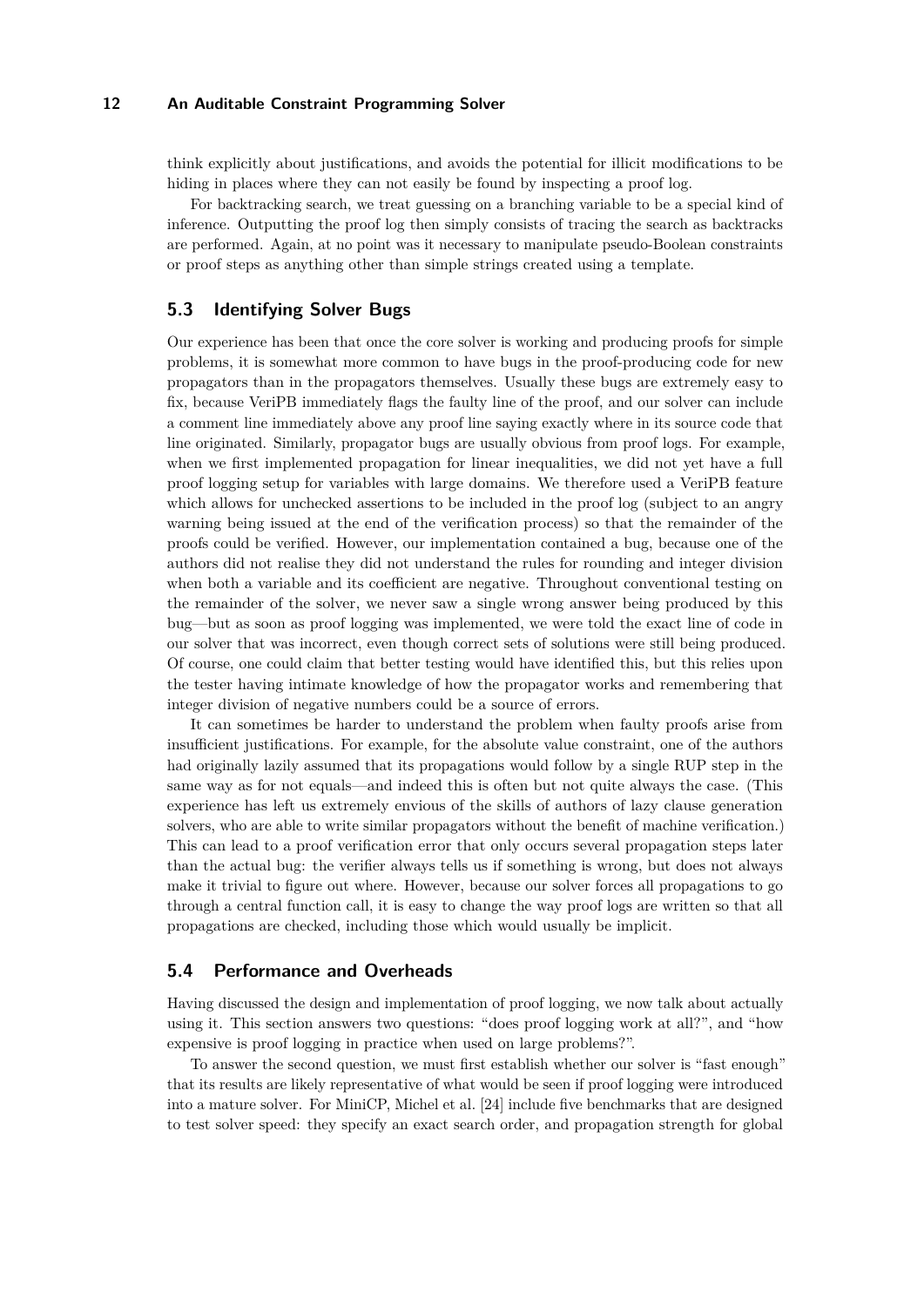think explicitly about justifications, and avoids the potential for illicit modifications to be hiding in places where they can not easily be found by inspecting a proof log.

For backtracking search, we treat guessing on a branching variable to be a special kind of inference. Outputting the proof log then simply consists of tracing the search as backtracks are performed. Again, at no point was it necessary to manipulate pseudo-Boolean constraints or proof steps as anything other than simple strings created using a template.

## **5.3 Identifying Solver Bugs**

Our experience has been that once the core solver is working and producing proofs for simple problems, it is somewhat more common to have bugs in the proof-producing code for new propagators than in the propagators themselves. Usually these bugs are extremely easy to fix, because VeriPB immediately flags the faulty line of the proof, and our solver can include a comment line immediately above any proof line saying exactly where in its source code that line originated. Similarly, propagator bugs are usually obvious from proof logs. For example, when we first implemented propagation for linear inequalities, we did not yet have a full proof logging setup for variables with large domains. We therefore used a VeriPB feature which allows for unchecked assertions to be included in the proof log (subject to an angry warning being issued at the end of the verification process) so that the remainder of the proofs could be verified. However, our implementation contained a bug, because one of the authors did not realise they did not understand the rules for rounding and integer division when both a variable and its coefficient are negative. Throughout conventional testing on the remainder of the solver, we never saw a single wrong answer being produced by this bug—but as soon as proof logging was implemented, we were told the exact line of code in our solver that was incorrect, even though correct sets of solutions were still being produced. Of course, one could claim that better testing would have identified this, but this relies upon the tester having intimate knowledge of how the propagator works and remembering that integer division of negative numbers could be a source of errors.

It can sometimes be harder to understand the problem when faulty proofs arise from insufficient justifications. For example, for the absolute value constraint, one of the authors had originally lazily assumed that its propagations would follow by a single RUP step in the same way as for not equals—and indeed this is often but not quite always the case. (This experience has left us extremely envious of the skills of authors of lazy clause generation solvers, who are able to write similar propagators without the benefit of machine verification.) This can lead to a proof verification error that only occurs several propagation steps later than the actual bug: the verifier always tells us if something is wrong, but does not always make it trivial to figure out where. However, because our solver forces all propagations to go through a central function call, it is easy to change the way proof logs are written so that all propagations are checked, including those which would usually be implicit.

## **5.4 Performance and Overheads**

Having discussed the design and implementation of proof logging, we now talk about actually using it. This section answers two questions: "does proof logging work at all?", and "how expensive is proof logging in practice when used on large problems?".

To answer the second question, we must first establish whether our solver is "fast enough" that its results are likely representative of what would be seen if proof logging were introduced into a mature solver. For MiniCP, Michel et al. [\[24\]](#page-16-8) include five benchmarks that are designed to test solver speed: they specify an exact search order, and propagation strength for global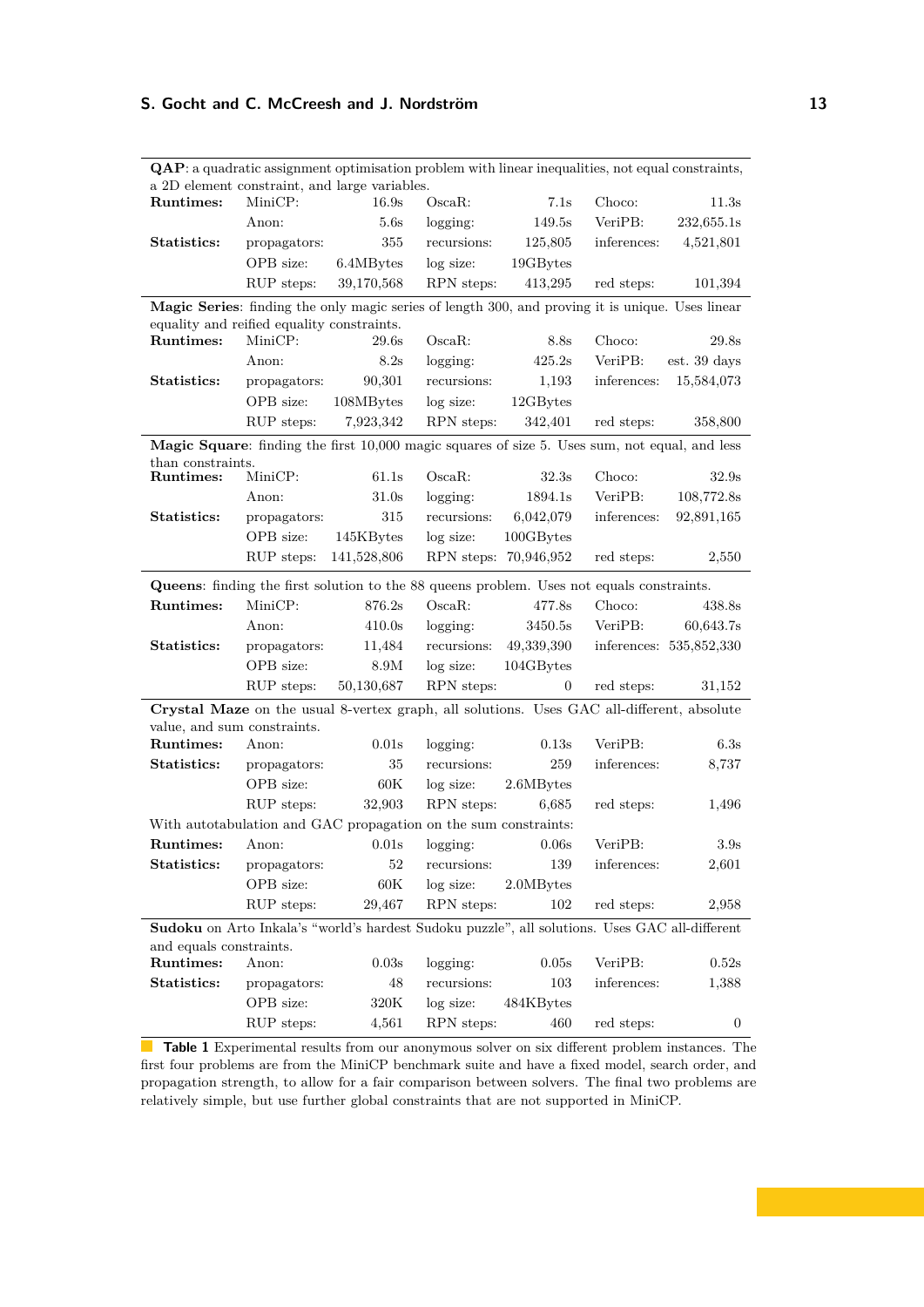|                                                                                                                                                | $\mathbf Q\mathbf A\mathbf P$ : a quadratic assignment optimisation problem with linear inequalities, not equal constraints,<br>a 2D element constraint, and large variables. |                  |                     |                       |             |                         |
|------------------------------------------------------------------------------------------------------------------------------------------------|-------------------------------------------------------------------------------------------------------------------------------------------------------------------------------|------------------|---------------------|-----------------------|-------------|-------------------------|
| Runtimes:                                                                                                                                      | MiniCP:                                                                                                                                                                       | 16.9s            | $Oscan$ :           | 7.1s                  | Choco:      | 11.3s                   |
|                                                                                                                                                | Anon:                                                                                                                                                                         | 5.6s             | logging:            | 149.5s                | VeriPB:     | 232,655.1s              |
| Statistics:                                                                                                                                    | propagators:                                                                                                                                                                  | 355              | recursions:         | 125,805               | inferences: | 4,521,801               |
|                                                                                                                                                | OPB size:                                                                                                                                                                     | 6.4MBytes        | log size:           | 19GBytes              |             |                         |
|                                                                                                                                                | RUP steps:                                                                                                                                                                    | 39,170,568       | RPN steps:          | 413,295               | red steps:  | 101,394                 |
|                                                                                                                                                |                                                                                                                                                                               |                  |                     |                       |             |                         |
| Magic Series: finding the only magic series of length 300, and proving it is unique. Uses linear<br>equality and reified equality constraints. |                                                                                                                                                                               |                  |                     |                       |             |                         |
| Runtimes:                                                                                                                                      | MiniCP:                                                                                                                                                                       | 29.6s            | O <sub>scan</sub> : | 8.8s                  | Choco:      | 29.8s                   |
|                                                                                                                                                | Anon:                                                                                                                                                                         | 8.2s             | logging:            | 425.2s                | VeriPB:     | est. 39 days            |
| Statistics:                                                                                                                                    | propagators:                                                                                                                                                                  | 90,301           | recursions:         | 1,193                 | inferences: | 15,584,073              |
|                                                                                                                                                | OPB size:                                                                                                                                                                     | 108MBytes        | log size:           | 12GBytes              |             |                         |
|                                                                                                                                                | RUP steps:                                                                                                                                                                    | 7,923,342        | RPN steps:          | 342,401               | red steps:  | 358,800                 |
|                                                                                                                                                |                                                                                                                                                                               |                  |                     |                       |             |                         |
| Magic Square: finding the first 10,000 magic squares of size 5. Uses sum, not equal, and less<br>than constraints.                             |                                                                                                                                                                               |                  |                     |                       |             |                         |
| Runtimes:                                                                                                                                      | MiniCP:                                                                                                                                                                       | 61.1s            | $Oscan$ :           | 32.3s                 | Choco:      | 32.9s                   |
|                                                                                                                                                | Anon:                                                                                                                                                                         | 31.0s            | logging:            | 1894.1s               | VeriPB:     | 108,772.8s              |
| Statistics:                                                                                                                                    | propagators:                                                                                                                                                                  | 315              | recursions:         | 6,042,079             | inferences: | 92,891,165              |
|                                                                                                                                                | OPB size:                                                                                                                                                                     | 145KBytes        | log size:           | $100GBy$ tes          |             |                         |
|                                                                                                                                                | RUP steps:                                                                                                                                                                    | 141,528,806      |                     | RPN steps: 70,946,952 | red steps:  | 2,550                   |
| <b>Queens:</b> finding the first solution to the 88 queens problem. Uses not equals constraints.                                               |                                                                                                                                                                               |                  |                     |                       |             |                         |
| Runtimes:                                                                                                                                      | MiniCP:                                                                                                                                                                       | 876.2s           | $Oscan$ :           | 477.8s                | Choco:      | 438.8s                  |
|                                                                                                                                                | Anon:                                                                                                                                                                         | 410.0s           | logging:            | 3450.5s               | VeriPB:     | 60,643.7s               |
| Statistics:                                                                                                                                    | propagators:                                                                                                                                                                  | 11,484           | recursions:         | 49,339,390            |             | inferences: 535,852,330 |
|                                                                                                                                                | OPB size:                                                                                                                                                                     | 8.9M             | log size:           | 104GBytes             |             |                         |
|                                                                                                                                                | RUP steps:                                                                                                                                                                    | 50,130,687       | RPN steps:          | 0                     | red steps:  | 31,152                  |
| Crystal Maze on the usual 8-vertex graph, all solutions. Uses GAC all-different, absolute                                                      |                                                                                                                                                                               |                  |                     |                       |             |                         |
| value, and sum constraints.                                                                                                                    |                                                                                                                                                                               |                  |                     |                       |             |                         |
| Runtimes:                                                                                                                                      | Anon:                                                                                                                                                                         | 0.01s            | logging:            | 0.13s                 | VeriPB:     | 6.3s                    |
| Statistics:                                                                                                                                    | propagators:                                                                                                                                                                  | 35               | recursions:         | 259                   | inferences: | 8,737                   |
|                                                                                                                                                | OPB size:                                                                                                                                                                     | $60\mathrm{K}$   | log size:           | 2.6MBytes             |             |                         |
|                                                                                                                                                | RUP steps:                                                                                                                                                                    | 32,903           | RPN steps:          | 6,685                 | red steps:  | 1,496                   |
| With autotabulation and GAC propagation on the sum constraints:                                                                                |                                                                                                                                                                               |                  |                     |                       |             |                         |
| Runtimes:                                                                                                                                      | Anon:                                                                                                                                                                         | 0.01s            | logging:            | 0.06s                 | VeriPB:     | 3.9s                    |
| Statistics:                                                                                                                                    | propagators:                                                                                                                                                                  | $52\,$           | recursions:         | 139                   | inferences: | 2,601                   |
|                                                                                                                                                | OPB size:                                                                                                                                                                     | $60\mathrm{K}$   | log size:           | 2.0MBytes             |             |                         |
|                                                                                                                                                | RUP steps:                                                                                                                                                                    | 29,467           | RPN steps:          | 102                   | red steps:  | 2,958                   |
| Sudoku on Arto Inkala's "world's hardest Sudoku puzzle", all solutions. Uses GAC all-different                                                 |                                                                                                                                                                               |                  |                     |                       |             |                         |
| and equals constraints.                                                                                                                        |                                                                                                                                                                               |                  |                     |                       |             |                         |
| Runtimes:                                                                                                                                      | Anon:                                                                                                                                                                         | $0.03\mathrm{s}$ | logging:            | 0.05s                 | VeriPB:     | 0.52s                   |
| Statistics:                                                                                                                                    | propagators:                                                                                                                                                                  | 48               | recursions:         | 103                   | inferences: | 1,388                   |
|                                                                                                                                                | OPB size:                                                                                                                                                                     | $320\mathrm{K}$  | log size:           | 484KBytes             |             |                         |
|                                                                                                                                                | RUP steps:                                                                                                                                                                    | 4,561            | RPN steps:          | 460                   | red steps:  | 0                       |

<span id="page-12-0"></span>**QAP**: a quadratic assignment optimisation problem with linear inequalities, not equal constraints,

**Table 1** Experimental results from our anonymous solver on six different problem instances. The first four problems are from the MiniCP benchmark suite and have a fixed model, search order, and propagation strength, to allow for a fair comparison between solvers. The final two problems are relatively simple, but use further global constraints that are not supported in MiniCP.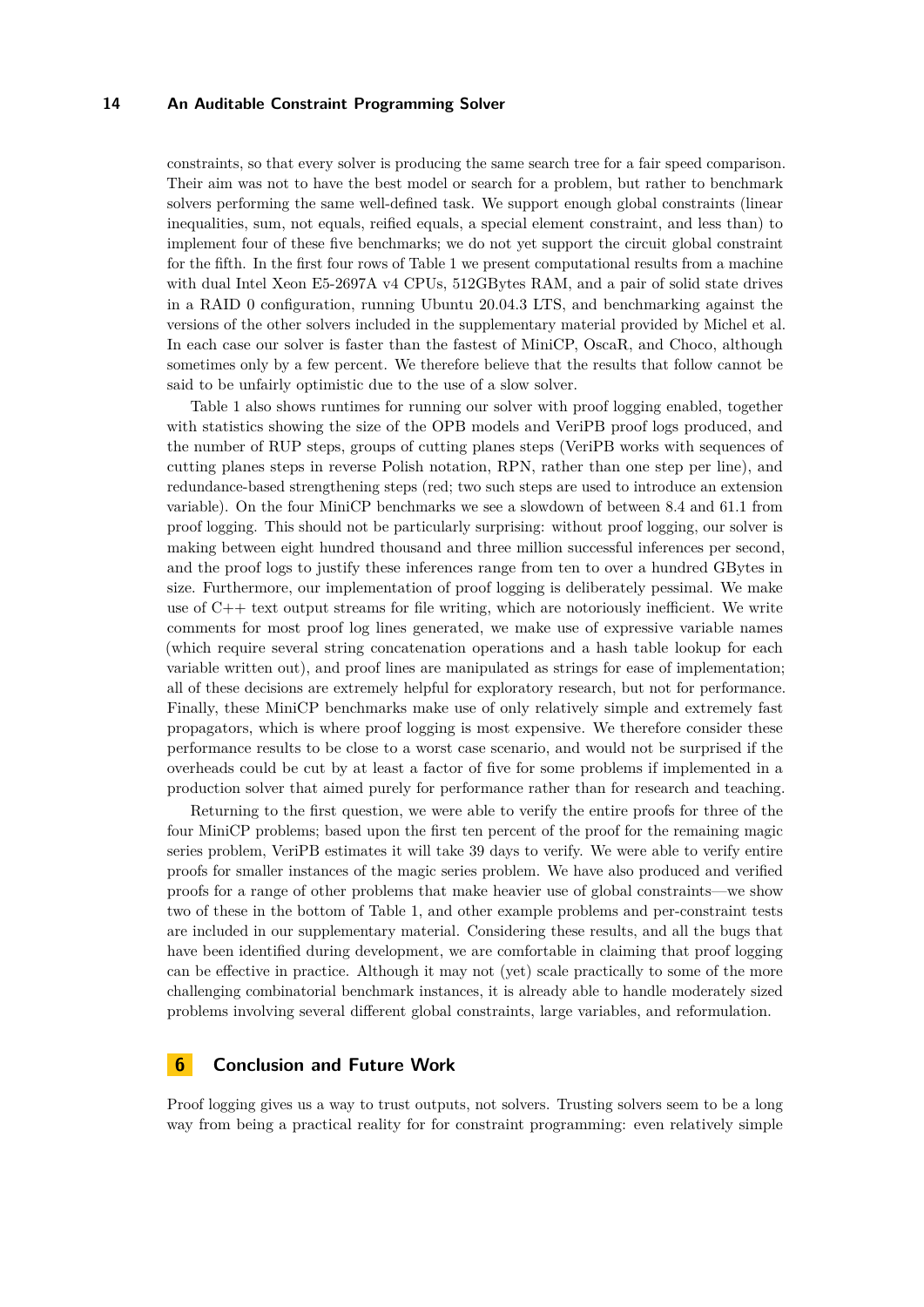constraints, so that every solver is producing the same search tree for a fair speed comparison. Their aim was not to have the best model or search for a problem, but rather to benchmark solvers performing the same well-defined task. We support enough global constraints (linear inequalities, sum, not equals, reified equals, a special element constraint, and less than) to implement four of these five benchmarks; we do not yet support the circuit global constraint for the fifth. In the first four rows of Table [1](#page-12-0) we present computational results from a machine with dual Intel Xeon E5-2697A v4 CPUs, 512GBytes RAM, and a pair of solid state drives in a RAID 0 configuration, running Ubuntu 20.04.3 LTS, and benchmarking against the versions of the other solvers included in the supplementary material provided by Michel et al. In each case our solver is faster than the fastest of MiniCP, OscaR, and Choco, although sometimes only by a few percent. We therefore believe that the results that follow cannot be said to be unfairly optimistic due to the use of a slow solver.

Table [1](#page-12-0) also shows runtimes for running our solver with proof logging enabled, together with statistics showing the size of the OPB models and VeriPB proof logs produced, and the number of RUP steps, groups of cutting planes steps (VeriPB works with sequences of cutting planes steps in reverse Polish notation, RPN, rather than one step per line), and redundance-based strengthening steps (red; two such steps are used to introduce an extension variable). On the four MiniCP benchmarks we see a slowdown of between 8.4 and 61.1 from proof logging. This should not be particularly surprising: without proof logging, our solver is making between eight hundred thousand and three million successful inferences per second, and the proof logs to justify these inferences range from ten to over a hundred GBytes in size. Furthermore, our implementation of proof logging is deliberately pessimal. We make use of C++ text output streams for file writing, which are notoriously inefficient. We write comments for most proof log lines generated, we make use of expressive variable names (which require several string concatenation operations and a hash table lookup for each variable written out), and proof lines are manipulated as strings for ease of implementation; all of these decisions are extremely helpful for exploratory research, but not for performance. Finally, these MiniCP benchmarks make use of only relatively simple and extremely fast propagators, which is where proof logging is most expensive. We therefore consider these performance results to be close to a worst case scenario, and would not be surprised if the overheads could be cut by at least a factor of five for some problems if implemented in a production solver that aimed purely for performance rather than for research and teaching.

Returning to the first question, we were able to verify the entire proofs for three of the four MiniCP problems; based upon the first ten percent of the proof for the remaining magic series problem, VeriPB estimates it will take 39 days to verify. We were able to verify entire proofs for smaller instances of the magic series problem. We have also produced and verified proofs for a range of other problems that make heavier use of global constraints—we show two of these in the bottom of Table [1,](#page-12-0) and other example problems and per-constraint tests are included in our supplementary material. Considering these results, and all the bugs that have been identified during development, we are comfortable in claiming that proof logging can be effective in practice. Although it may not (yet) scale practically to some of the more challenging combinatorial benchmark instances, it is already able to handle moderately sized problems involving several different global constraints, large variables, and reformulation.

# **6 Conclusion and Future Work**

Proof logging gives us a way to trust outputs, not solvers. Trusting solvers seem to be a long way from being a practical reality for for constraint programming: even relatively simple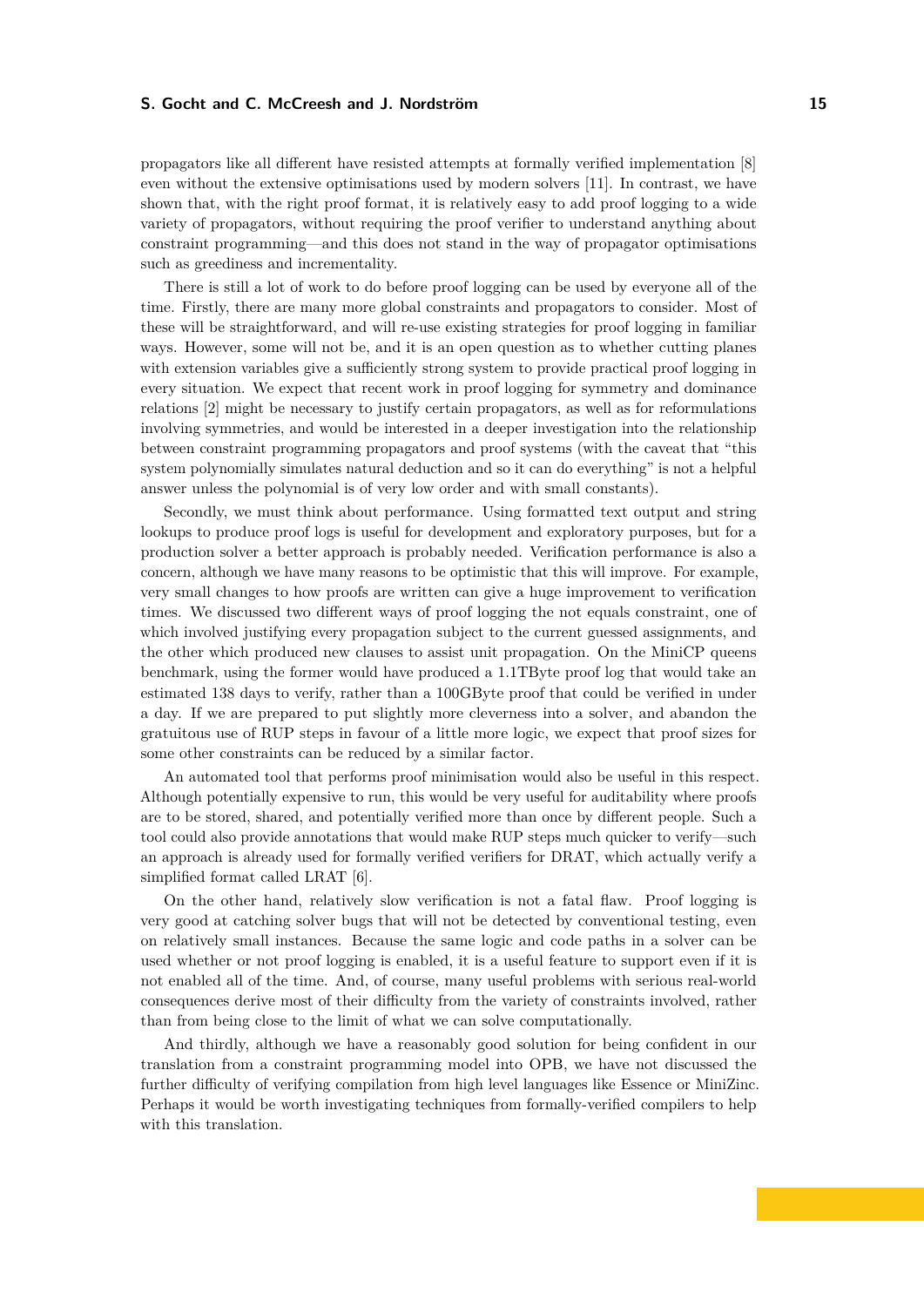propagators like all different have resisted attempts at formally verified implementation [\[8\]](#page-15-9) even without the extensive optimisations used by modern solvers [\[11\]](#page-15-10). In contrast, we have shown that, with the right proof format, it is relatively easy to add proof logging to a wide variety of propagators, without requiring the proof verifier to understand anything about constraint programming—and this does not stand in the way of propagator optimisations such as greediness and incrementality.

There is still a lot of work to do before proof logging can be used by everyone all of the time. Firstly, there are many more global constraints and propagators to consider. Most of these will be straightforward, and will re-use existing strategies for proof logging in familiar ways. However, some will not be, and it is an open question as to whether cutting planes with extension variables give a sufficiently strong system to provide practical proof logging in every situation. We expect that recent work in proof logging for symmetry and dominance relations [\[2\]](#page-15-8) might be necessary to justify certain propagators, as well as for reformulations involving symmetries, and would be interested in a deeper investigation into the relationship between constraint programming propagators and proof systems (with the caveat that "this system polynomially simulates natural deduction and so it can do everything" is not a helpful answer unless the polynomial is of very low order and with small constants).

Secondly, we must think about performance. Using formatted text output and string lookups to produce proof logs is useful for development and exploratory purposes, but for a production solver a better approach is probably needed. Verification performance is also a concern, although we have many reasons to be optimistic that this will improve. For example, very small changes to how proofs are written can give a huge improvement to verification times. We discussed two different ways of proof logging the not equals constraint, one of which involved justifying every propagation subject to the current guessed assignments, and the other which produced new clauses to assist unit propagation. On the MiniCP queens benchmark, using the former would have produced a 1.1TByte proof log that would take an estimated 138 days to verify, rather than a 100GByte proof that could be verified in under a day. If we are prepared to put slightly more cleverness into a solver, and abandon the gratuitous use of RUP steps in favour of a little more logic, we expect that proof sizes for some other constraints can be reduced by a similar factor.

An automated tool that performs proof minimisation would also be useful in this respect. Although potentially expensive to run, this would be very useful for auditability where proofs are to be stored, shared, and potentially verified more than once by different people. Such a tool could also provide annotations that would make RUP steps much quicker to verify—such an approach is already used for formally verified verifiers for DRAT, which actually verify a simplified format called LRAT [\[6\]](#page-15-11).

On the other hand, relatively slow verification is not a fatal flaw. Proof logging is very good at catching solver bugs that will not be detected by conventional testing, even on relatively small instances. Because the same logic and code paths in a solver can be used whether or not proof logging is enabled, it is a useful feature to support even if it is not enabled all of the time. And, of course, many useful problems with serious real-world consequences derive most of their difficulty from the variety of constraints involved, rather than from being close to the limit of what we can solve computationally.

And thirdly, although we have a reasonably good solution for being confident in our translation from a constraint programming model into OPB, we have not discussed the further difficulty of verifying compilation from high level languages like Essence or MiniZinc. Perhaps it would be worth investigating techniques from formally-verified compilers to help with this translation.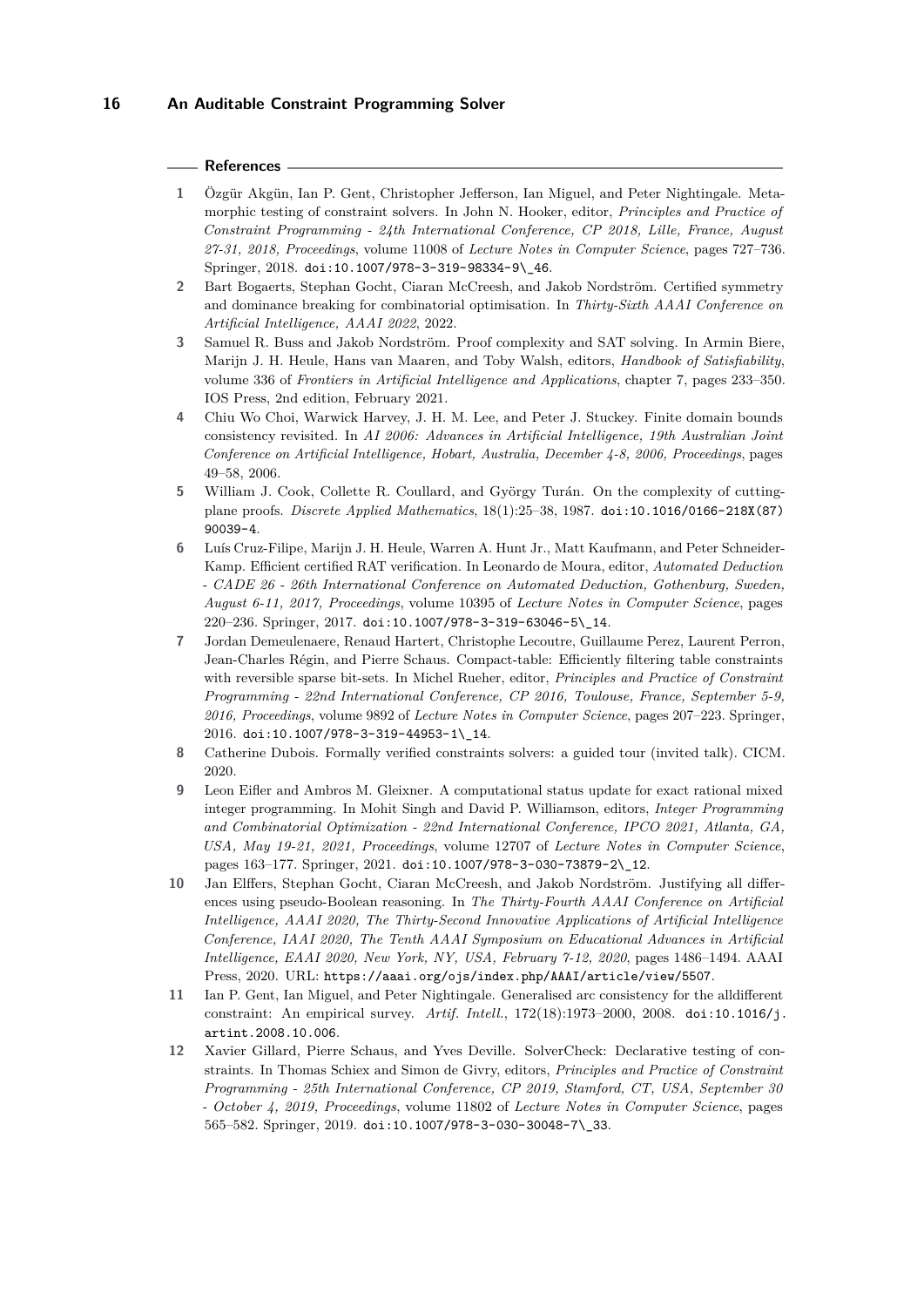#### **References**

- <span id="page-15-1"></span>**1** Özgür Akgün, Ian P. Gent, Christopher Jefferson, Ian Miguel, and Peter Nightingale. Metamorphic testing of constraint solvers. In John N. Hooker, editor, *Principles and Practice of Constraint Programming - 24th International Conference, CP 2018, Lille, France, August 27-31, 2018, Proceedings*, volume 11008 of *Lecture Notes in Computer Science*, pages 727–736. Springer, 2018. [doi:10.1007/978-3-319-98334-9\\\_46](https://doi.org/10.1007/978-3-319-98334-9_46).
- <span id="page-15-8"></span>**2** Bart Bogaerts, Stephan Gocht, Ciaran McCreesh, and Jakob Nordström. Certified symmetry and dominance breaking for combinatorial optimisation. In *Thirty-Sixth AAAI Conference on Artificial Intelligence, AAAI 2022*, 2022.
- <span id="page-15-5"></span>**3** Samuel R. Buss and Jakob Nordström. Proof complexity and SAT solving. In Armin Biere, Marijn J. H. Heule, Hans van Maaren, and Toby Walsh, editors, *Handbook of Satisfiability*, volume 336 of *Frontiers in Artificial Intelligence and Applications*, chapter 7, pages 233–350. IOS Press, 2nd edition, February 2021.
- <span id="page-15-6"></span>**4** Chiu Wo Choi, Warwick Harvey, J. H. M. Lee, and Peter J. Stuckey. Finite domain bounds consistency revisited. In *AI 2006: Advances in Artificial Intelligence, 19th Australian Joint Conference on Artificial Intelligence, Hobart, Australia, December 4-8, 2006, Proceedings*, pages 49–58, 2006.
- <span id="page-15-4"></span>**5** William J. Cook, Collette R. Coullard, and György Turán. On the complexity of cuttingplane proofs. *Discrete Applied Mathematics*, 18(1):25–38, 1987. [doi:10.1016/0166-218X\(87\)](https://doi.org/10.1016/0166-218X(87)90039-4) [90039-4](https://doi.org/10.1016/0166-218X(87)90039-4).
- <span id="page-15-11"></span>**6** Luís Cruz-Filipe, Marijn J. H. Heule, Warren A. Hunt Jr., Matt Kaufmann, and Peter Schneider-Kamp. Efficient certified RAT verification. In Leonardo de Moura, editor, *Automated Deduction - CADE 26 - 26th International Conference on Automated Deduction, Gothenburg, Sweden, August 6-11, 2017, Proceedings*, volume 10395 of *Lecture Notes in Computer Science*, pages 220–236. Springer, 2017. [doi:10.1007/978-3-319-63046-5\\\_14](https://doi.org/10.1007/978-3-319-63046-5_14).
- <span id="page-15-7"></span>**7** Jordan Demeulenaere, Renaud Hartert, Christophe Lecoutre, Guillaume Perez, Laurent Perron, Jean-Charles Régin, and Pierre Schaus. Compact-table: Efficiently filtering table constraints with reversible sparse bit-sets. In Michel Rueher, editor, *Principles and Practice of Constraint Programming - 22nd International Conference, CP 2016, Toulouse, France, September 5-9, 2016, Proceedings*, volume 9892 of *Lecture Notes in Computer Science*, pages 207–223. Springer, 2016. [doi:10.1007/978-3-319-44953-1\\\_14](https://doi.org/10.1007/978-3-319-44953-1_14).
- <span id="page-15-9"></span>**8** Catherine Dubois. Formally verified constraints solvers: a guided tour (invited talk). CICM. 2020.
- <span id="page-15-0"></span>**9** Leon Eifler and Ambros M. Gleixner. A computational status update for exact rational mixed integer programming. In Mohit Singh and David P. Williamson, editors, *Integer Programming and Combinatorial Optimization - 22nd International Conference, IPCO 2021, Atlanta, GA, USA, May 19-21, 2021, Proceedings*, volume 12707 of *Lecture Notes in Computer Science*, pages 163–177. Springer, 2021. [doi:10.1007/978-3-030-73879-2\\\_12](https://doi.org/10.1007/978-3-030-73879-2_12).
- <span id="page-15-3"></span>**10** Jan Elffers, Stephan Gocht, Ciaran McCreesh, and Jakob Nordström. Justifying all differences using pseudo-Boolean reasoning. In *The Thirty-Fourth AAAI Conference on Artificial Intelligence, AAAI 2020, The Thirty-Second Innovative Applications of Artificial Intelligence Conference, IAAI 2020, The Tenth AAAI Symposium on Educational Advances in Artificial Intelligence, EAAI 2020, New York, NY, USA, February 7-12, 2020*, pages 1486–1494. AAAI Press, 2020. URL: <https://aaai.org/ojs/index.php/AAAI/article/view/5507>.
- <span id="page-15-10"></span>**11** Ian P. Gent, Ian Miguel, and Peter Nightingale. Generalised arc consistency for the alldifferent constraint: An empirical survey. *Artif. Intell.*, 172(18):1973–2000, 2008. [doi:10.1016/j.](https://doi.org/10.1016/j.artint.2008.10.006) [artint.2008.10.006](https://doi.org/10.1016/j.artint.2008.10.006).
- <span id="page-15-2"></span>**12** Xavier Gillard, Pierre Schaus, and Yves Deville. SolverCheck: Declarative testing of constraints. In Thomas Schiex and Simon de Givry, editors, *Principles and Practice of Constraint Programming - 25th International Conference, CP 2019, Stamford, CT, USA, September 30 - October 4, 2019, Proceedings*, volume 11802 of *Lecture Notes in Computer Science*, pages 565–582. Springer, 2019. [doi:10.1007/978-3-030-30048-7\\\_33](https://doi.org/10.1007/978-3-030-30048-7_33).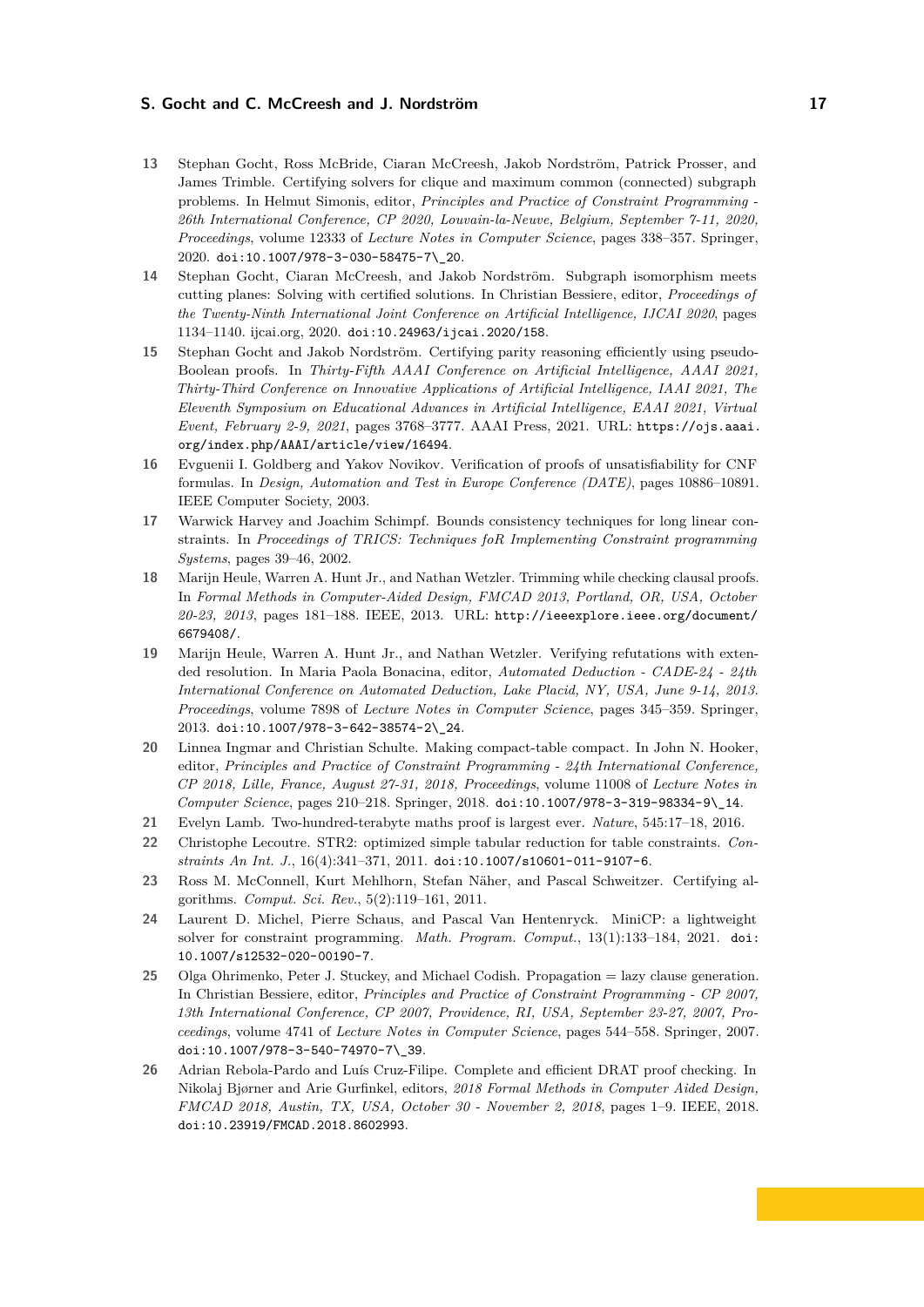- <span id="page-16-4"></span>**13** Stephan Gocht, Ross McBride, Ciaran McCreesh, Jakob Nordström, Patrick Prosser, and James Trimble. Certifying solvers for clique and maximum common (connected) subgraph problems. In Helmut Simonis, editor, *Principles and Practice of Constraint Programming - 26th International Conference, CP 2020, Louvain-la-Neuve, Belgium, September 7-11, 2020, Proceedings*, volume 12333 of *Lecture Notes in Computer Science*, pages 338–357. Springer, 2020. [doi:10.1007/978-3-030-58475-7\\\_20](https://doi.org/10.1007/978-3-030-58475-7_20).
- <span id="page-16-3"></span>**14** Stephan Gocht, Ciaran McCreesh, and Jakob Nordström. Subgraph isomorphism meets cutting planes: Solving with certified solutions. In Christian Bessiere, editor, *Proceedings of the Twenty-Ninth International Joint Conference on Artificial Intelligence, IJCAI 2020*, pages 1134–1140. ijcai.org, 2020. [doi:10.24963/ijcai.2020/158](https://doi.org/10.24963/ijcai.2020/158).
- <span id="page-16-6"></span>**15** Stephan Gocht and Jakob Nordström. Certifying parity reasoning efficiently using pseudo-Boolean proofs. In *Thirty-Fifth AAAI Conference on Artificial Intelligence, AAAI 2021, Thirty-Third Conference on Innovative Applications of Artificial Intelligence, IAAI 2021, The Eleventh Symposium on Educational Advances in Artificial Intelligence, EAAI 2021, Virtual Event, February 2-9, 2021*, pages 3768–3777. AAAI Press, 2021. URL: [https://ojs.aaai.](https://ojs.aaai.org/index.php/AAAI/article/view/16494) [org/index.php/AAAI/article/view/16494](https://ojs.aaai.org/index.php/AAAI/article/view/16494).
- <span id="page-16-10"></span>**16** Evguenii I. Goldberg and Yakov Novikov. Verification of proofs of unsatisfiability for CNF formulas. In *Design, Automation and Test in Europe Conference (DATE)*, pages 10886–10891. IEEE Computer Society, 2003.
- <span id="page-16-13"></span>**17** Warwick Harvey and Joachim Schimpf. Bounds consistency techniques for long linear constraints. In *Proceedings of TRICS: Techniques foR Implementing Constraint programming Systems*, pages 39–46, 2002.
- <span id="page-16-1"></span>**18** Marijn Heule, Warren A. Hunt Jr., and Nathan Wetzler. Trimming while checking clausal proofs. In *Formal Methods in Computer-Aided Design, FMCAD 2013, Portland, OR, USA, October 20-23, 2013*, pages 181–188. IEEE, 2013. URL: [http://ieeexplore.ieee.org/document/](http://ieeexplore.ieee.org/document/6679408/) [6679408/](http://ieeexplore.ieee.org/document/6679408/).
- <span id="page-16-0"></span>**19** Marijn Heule, Warren A. Hunt Jr., and Nathan Wetzler. Verifying refutations with extended resolution. In Maria Paola Bonacina, editor, *Automated Deduction - CADE-24 - 24th International Conference on Automated Deduction, Lake Placid, NY, USA, June 9-14, 2013. Proceedings*, volume 7898 of *Lecture Notes in Computer Science*, pages 345–359. Springer, 2013. [doi:10.1007/978-3-642-38574-2\\\_24](https://doi.org/10.1007/978-3-642-38574-2_24).
- <span id="page-16-12"></span>**20** Linnea Ingmar and Christian Schulte. Making compact-table compact. In John N. Hooker, editor, *Principles and Practice of Constraint Programming - 24th International Conference, CP 2018, Lille, France, August 27-31, 2018, Proceedings*, volume 11008 of *Lecture Notes in Computer Science*, pages 210–218. Springer, 2018. [doi:10.1007/978-3-319-98334-9\\\_14](https://doi.org/10.1007/978-3-319-98334-9_14).
- <span id="page-16-2"></span>**21** Evelyn Lamb. Two-hundred-terabyte maths proof is largest ever. *Nature*, 545:17–18, 2016.
- <span id="page-16-11"></span>**22** Christophe Lecoutre. STR2: optimized simple tabular reduction for table constraints. *Constraints An Int. J.*, 16(4):341–371, 2011. [doi:10.1007/s10601-011-9107-6](https://doi.org/10.1007/s10601-011-9107-6).
- <span id="page-16-5"></span>**23** Ross M. McConnell, Kurt Mehlhorn, Stefan Näher, and Pascal Schweitzer. Certifying algorithms. *Comput. Sci. Rev.*, 5(2):119–161, 2011.
- <span id="page-16-8"></span>**24** Laurent D. Michel, Pierre Schaus, and Pascal Van Hentenryck. MiniCP: a lightweight solver for constraint programming. *Math. Program. Comput.*, 13(1):133–184, 2021. [doi:](https://doi.org/10.1007/s12532-020-00190-7) [10.1007/s12532-020-00190-7](https://doi.org/10.1007/s12532-020-00190-7).
- <span id="page-16-9"></span>**25** Olga Ohrimenko, Peter J. Stuckey, and Michael Codish. Propagation = lazy clause generation. In Christian Bessiere, editor, *Principles and Practice of Constraint Programming - CP 2007, 13th International Conference, CP 2007, Providence, RI, USA, September 23-27, 2007, Proceedings*, volume 4741 of *Lecture Notes in Computer Science*, pages 544–558. Springer, 2007. [doi:10.1007/978-3-540-74970-7\\\_39](https://doi.org/10.1007/978-3-540-74970-7_39).
- <span id="page-16-7"></span>**26** Adrian Rebola-Pardo and Luís Cruz-Filipe. Complete and efficient DRAT proof checking. In Nikolaj Bjørner and Arie Gurfinkel, editors, *2018 Formal Methods in Computer Aided Design, FMCAD 2018, Austin, TX, USA, October 30 - November 2, 2018*, pages 1–9. IEEE, 2018. [doi:10.23919/FMCAD.2018.8602993](https://doi.org/10.23919/FMCAD.2018.8602993).